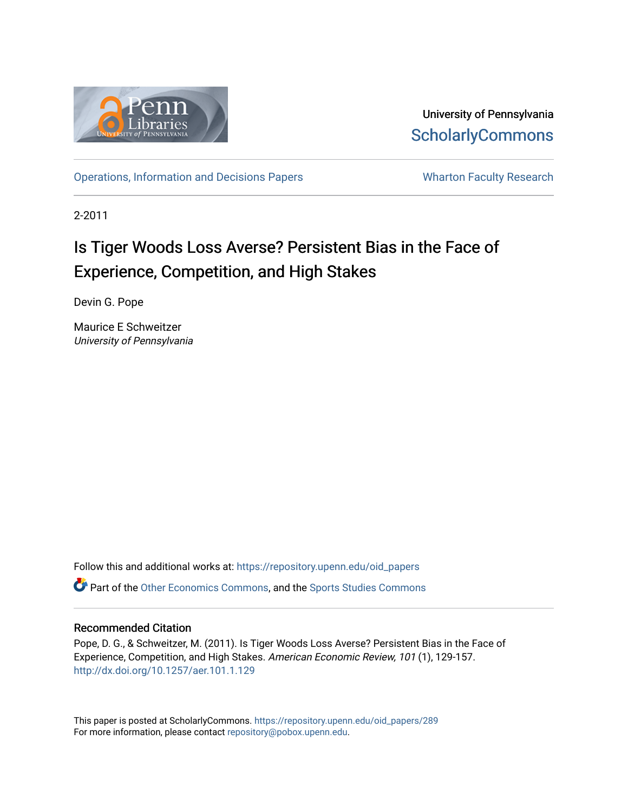

University of Pennsylvania **ScholarlyCommons** 

[Operations, Information and Decisions Papers](https://repository.upenn.edu/oid_papers) Wharton Faculty Research

2-2011

# Is Tiger Woods Loss Averse? Persistent Bias in the Face of Experience, Competition, and High Stakes

Devin G. Pope

Maurice E Schweitzer University of Pennsylvania

Follow this and additional works at: [https://repository.upenn.edu/oid\\_papers](https://repository.upenn.edu/oid_papers?utm_source=repository.upenn.edu%2Foid_papers%2F289&utm_medium=PDF&utm_campaign=PDFCoverPages) Part of the [Other Economics Commons,](http://network.bepress.com/hgg/discipline/353?utm_source=repository.upenn.edu%2Foid_papers%2F289&utm_medium=PDF&utm_campaign=PDFCoverPages) and the [Sports Studies Commons](http://network.bepress.com/hgg/discipline/1198?utm_source=repository.upenn.edu%2Foid_papers%2F289&utm_medium=PDF&utm_campaign=PDFCoverPages) 

### Recommended Citation

Pope, D. G., & Schweitzer, M. (2011). Is Tiger Woods Loss Averse? Persistent Bias in the Face of Experience, Competition, and High Stakes. American Economic Review, 101 (1), 129-157. <http://dx.doi.org/10.1257/aer.101.1.129>

This paper is posted at ScholarlyCommons. [https://repository.upenn.edu/oid\\_papers/289](https://repository.upenn.edu/oid_papers/289)  For more information, please contact [repository@pobox.upenn.edu.](mailto:repository@pobox.upenn.edu)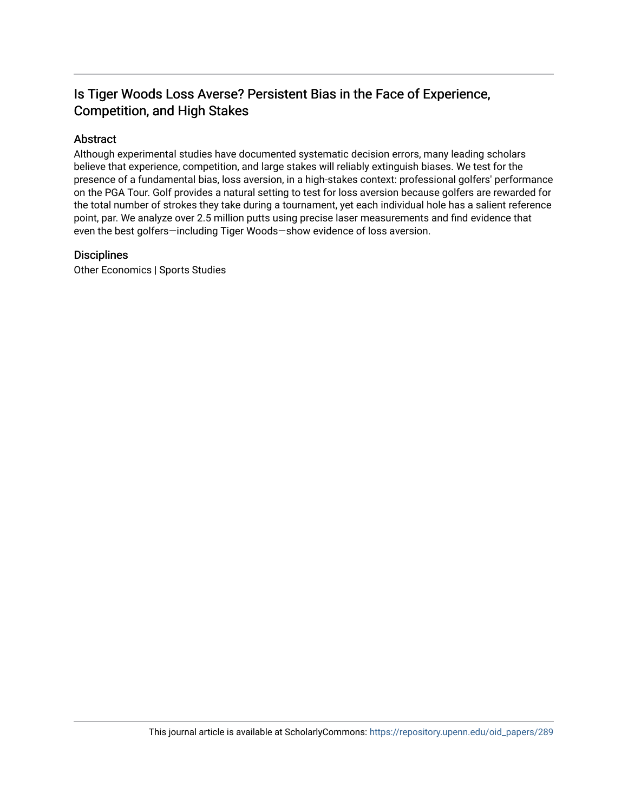# Is Tiger Woods Loss Averse? Persistent Bias in the Face of Experience, Competition, and High Stakes

# Abstract

Although experimental studies have documented systematic decision errors, many leading scholars believe that experience, competition, and large stakes will reliably extinguish biases. We test for the presence of a fundamental bias, loss aversion, in a high-stakes context: professional golfers' performance on the PGA Tour. Golf provides a natural setting to test for loss aversion because golfers are rewarded for the total number of strokes they take during a tournament, yet each individual hole has a salient reference point, par. We analyze over 2.5 million putts using precise laser measurements and find evidence that even the best golfers—including Tiger Woods—show evidence of loss aversion.

## **Disciplines**

Other Economics | Sports Studies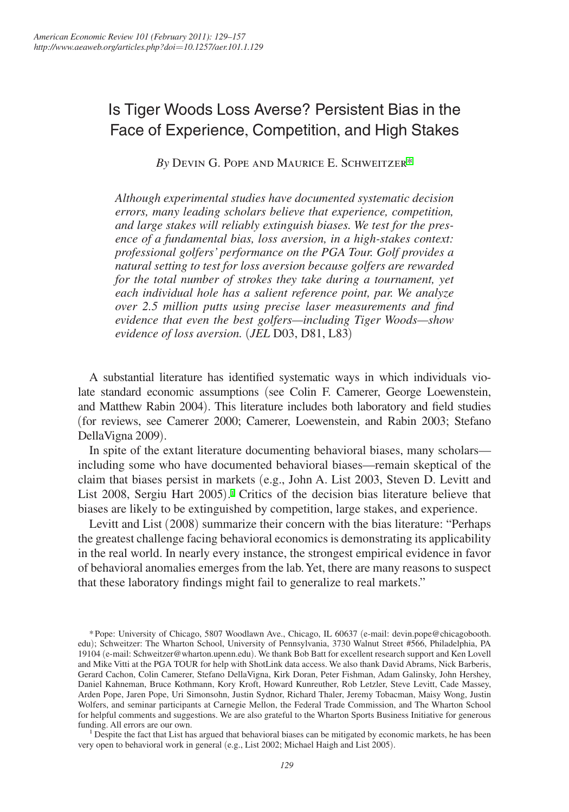# Is Tiger Woods Loss Averse? Persistent Bias in the Face of Experience, Competition, and High Stakes

*By* Devin G. Pope and Maurice E. Schweitzer\*

*Although experimental studies have documented systematic decision errors, many leading scholars believe that experience, competition, and large stakes will reliably extinguish biases. We test for the presence of a fundamental bias, loss aversion, in a high-stakes context: professional golfers' performance on the PGA Tour. Golf provides a natural setting to test for loss aversion because golfers are rewarded for the total number of strokes they take during a tournament, yet each individual hole has a salient reference point, par. We analyze over 2.5 million putts using precise laser measurements and find evidence that even the best golfers—including Tiger Woods—show evidence of loss aversion.* (*JEL* D03, D81, L83)

A substantial literature has identified systematic ways in which individuals violate standard economic assumptions (see Colin F. Camerer, George Loewenstein, and Matthew Rabin 2004). This literature includes both laboratory and field studies (for reviews, see Camerer 2000; Camerer, Loewenstein, and Rabin 2003; Stefano DellaVigna 2009).

In spite of the extant literature documenting behavioral biases, many scholars including some who have documented behavioral biases—remain skeptical of the claim that biases persist in markets (e.g., John A. List 2003, Steven D. Levitt and List 2008, Sergiu Hart 2005). 1 Critics of the decision bias literature believe that biases are likely to be extinguished by competition, large stakes, and experience.

Levitt and List (2008) summarize their concern with the bias literature: "Perhaps the greatest challenge facing behavioral economics is demonstrating its applicability in the real world. In nearly every instance, the strongest empirical evidence in favor of behavioral anomalies emerges from the lab. Yet, there are many reasons to suspect that these laboratory findings might fail to generalize to real markets."

 $<sup>1</sup>$  Despite the fact that List has argued that behavioral biases can be mitigated by economic markets, he has been</sup> very open to behavioral work in general (e.g., List 2002; Michael Haigh and List 2005).

<sup>\*</sup>Pope: University of Chicago, 5807 Woodlawn Ave., Chicago, IL 60637 (e-mail: devin.pope@chicagobooth. edu); Schweitzer: The Wharton School, University of Pennsylvania, 3730 Walnut Street #566, Philadelphia, PA 19104 (e-mail: Schweitzer@wharton.upenn.edu). We thank Bob Batt for excellent research support and Ken Lovell and Mike Vitti at the PGA TOUR for help with ShotLink data access. We also thank David Abrams, Nick Barberis, Gerard Cachon, Colin Camerer, Stefano DellaVigna, Kirk Doran, Peter Fishman, Adam Galinsky, John Hershey, Daniel Kahneman, Bruce Kothmann, Kory Kroft, Howard Kunreuther, Rob Letzler, Steve Levitt, Cade Massey, Arden Pope, Jaren Pope, Uri Simonsohn, Justin Sydnor, Richard Thaler, Jeremy Tobacman, Maisy Wong, Justin Wolfers, and seminar participants at Carnegie Mellon, the Federal Trade Commission, and The Wharton School for helpful comments and suggestions. We are also grateful to the Wharton Sports Business Initiative for generous funding. All errors are our own.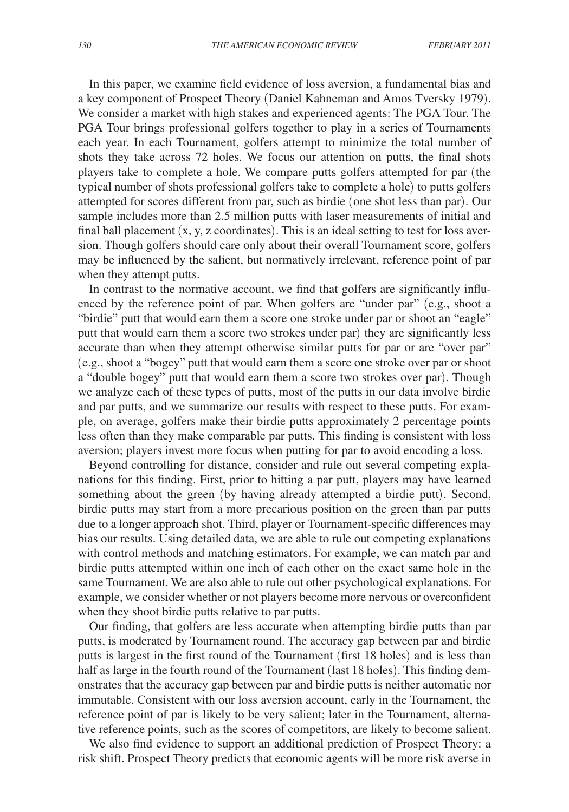In this paper, we examine field evidence of loss aversion, a fundamental bias and a key component of Prospect Theory (Daniel Kahneman and Amos Tversky 1979). We consider a market with high stakes and experienced agents: The PGA Tour. The PGA Tour brings professional golfers together to play in a series of Tournaments each year. In each Tournament, golfers attempt to minimize the total number of shots they take across 72 holes. We focus our attention on putts, the final shots players take to complete a hole. We compare putts golfers attempted for par (the typical number of shots professional golfers take to complete a hole) to putts golfers attempted for scores different from par, such as birdie (one shot less than par). Our sample includes more than 2.5 million putts with laser measurements of initial and final ball placement  $(x, y, z)$  coordinates). This is an ideal setting to test for loss aversion. Though golfers should care only about their overall Tournament score, golfers may be influenced by the salient, but normatively irrelevant, reference point of par when they attempt putts.

In contrast to the normative account, we find that golfers are significantly influenced by the reference point of par. When golfers are "under par" (e.g., shoot a "birdie" putt that would earn them a score one stroke under par or shoot an "eagle" putt that would earn them a score two strokes under par) they are significantly less accurate than when they attempt otherwise similar putts for par or are "over par" (e.g., shoot a "bogey" putt that would earn them a score one stroke over par or shoot a "double bogey" putt that would earn them a score two strokes over par). Though we analyze each of these types of putts, most of the putts in our data involve birdie and par putts, and we summarize our results with respect to these putts. For example, on average, golfers make their birdie putts approximately 2 percentage points less often than they make comparable par putts. This finding is consistent with loss aversion; players invest more focus when putting for par to avoid encoding a loss.

Beyond controlling for distance, consider and rule out several competing explanations for this finding. First, prior to hitting a par putt, players may have learned something about the green (by having already attempted a birdie putt). Second, birdie putts may start from a more precarious position on the green than par putts due to a longer approach shot. Third, player or Tournament-specific differences may bias our results. Using detailed data, we are able to rule out competing explanations with control methods and matching estimators. For example, we can match par and birdie putts attempted within one inch of each other on the exact same hole in the same Tournament. We are also able to rule out other psychological explanations. For example, we consider whether or not players become more nervous or overconfident when they shoot birdie putts relative to par putts.

Our finding, that golfers are less accurate when attempting birdie putts than par putts, is moderated by Tournament round. The accuracy gap between par and birdie putts is largest in the first round of the Tournament (first 18 holes) and is less than half as large in the fourth round of the Tournament (last 18 holes). This finding demonstrates that the accuracy gap between par and birdie putts is neither automatic nor immutable. Consistent with our loss aversion account, early in the Tournament, the reference point of par is likely to be very salient; later in the Tournament, alternative reference points, such as the scores of competitors, are likely to become salient.

We also find evidence to support an additional prediction of Prospect Theory: a risk shift. Prospect Theory predicts that economic agents will be more risk averse in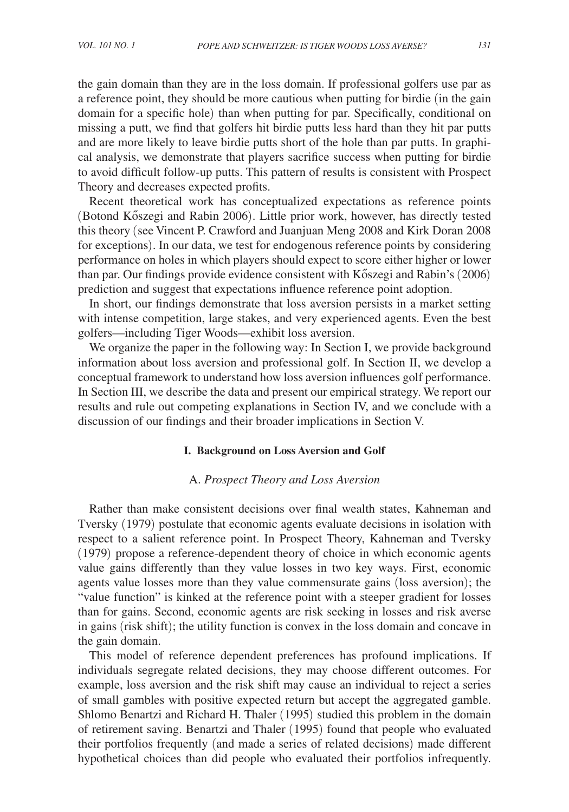the gain domain than they are in the loss domain. If professional golfers use par as a reference point, they should be more cautious when putting for birdie (in the gain domain for a specific hole) than when putting for par. Specifically, conditional on missing a putt, we find that golfers hit birdie putts less hard than they hit par putts and are more likely to leave birdie putts short of the hole than par putts. In graphical analysis, we demonstrate that players sacrifice success when putting for birdie to avoid difficult follow-up putts. This pattern of results is consistent with Prospect Theory and decreases expected profits.

Recent theoretical work has conceptualized expectations as reference points (Botond Kőszegi and Rabin 2006). Little prior work, however, has directly tested this theory (see Vincent P. Crawford and Juanjuan Meng 2008 and Kirk Doran 2008 for exceptions). In our data, we test for endogenous reference points by considering performance on holes in which players should expect to score either higher or lower than par. Our findings provide evidence consistent with Kőszegi and Rabin's (2006) prediction and suggest that expectations influence reference point adoption.

In short, our findings demonstrate that loss aversion persists in a market setting with intense competition, large stakes, and very experienced agents. Even the best golfers—including Tiger Woods—exhibit loss aversion.

We organize the paper in the following way: In Section I, we provide background information about loss aversion and professional golf. In Section II, we develop a conceptual framework to understand how loss aversion influences golf performance. In Section III, we describe the data and present our empirical strategy. We report our results and rule out competing explanations in Section IV, and we conclude with a discussion of our findings and their broader implications in Section V.

#### **I. Background on Loss Aversion and Golf**

#### A. *Prospect Theory and Loss Aversion*

Rather than make consistent decisions over final wealth states, Kahneman and Tversky (1979) postulate that economic agents evaluate decisions in isolation with respect to a salient reference point. In Prospect Theory, Kahneman and Tversky (1979) propose a reference-dependent theory of choice in which economic agents value gains differently than they value losses in two key ways. First, economic agents value losses more than they value commensurate gains (loss aversion); the "value function" is kinked at the reference point with a steeper gradient for losses than for gains. Second, economic agents are risk seeking in losses and risk averse in gains (risk shift); the utility function is convex in the loss domain and concave in the gain domain.

This model of reference dependent preferences has profound implications. If individuals segregate related decisions, they may choose different outcomes. For example, loss aversion and the risk shift may cause an individual to reject a series of small gambles with positive expected return but accept the aggregated gamble. Shlomo Benartzi and Richard H. Thaler (1995) studied this problem in the domain of retirement saving. Benartzi and Thaler (1995) found that people who evaluated their portfolios frequently (and made a series of related decisions) made different hypothetical choices than did people who evaluated their portfolios infrequently.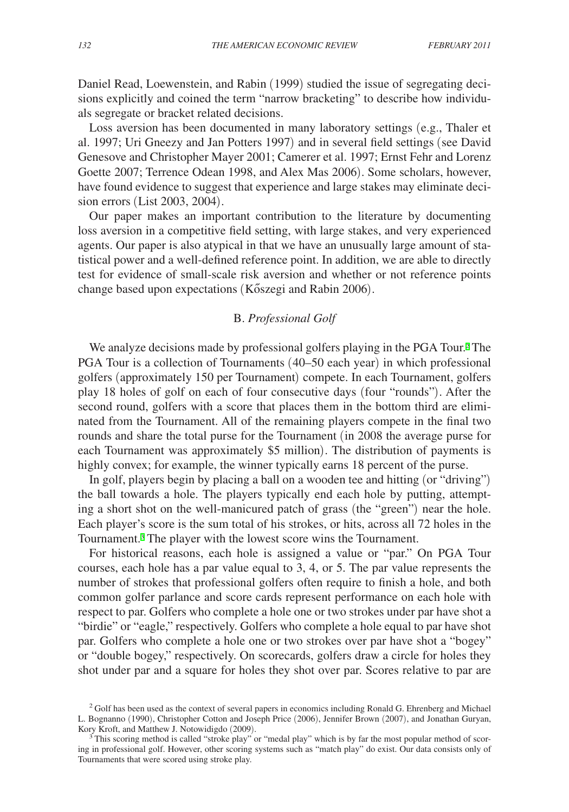Daniel Read, Loewenstein, and Rabin (1999) studied the issue of segregating decisions explicitly and coined the term "narrow bracketing" to describe how individuals segregate or bracket related decisions.

Loss aversion has been documented in many laboratory settings (e.g., Thaler et al. 1997; Uri Gneezy and Jan Potters 1997) and in several field settings (see David Genesove and Christopher Mayer 2001; Camerer et al. 1997; Ernst Fehr and Lorenz Goette 2007; Terrence Odean 1998, and Alex Mas 2006). Some scholars, however, have found evidence to suggest that experience and large stakes may eliminate decision errors (List 2003, 2004).

Our paper makes an important contribution to the literature by documenting loss aversion in a competitive field setting, with large stakes, and very experienced agents. Our paper is also atypical in that we have an unusually large amount of statistical power and a well-defined reference point. In addition, we are able to directly test for evidence of small-scale risk aversion and whether or not reference points change based upon expectations (Kőszegi and Rabin 2006).

#### B. *Professional Golf*

We analyze decisions made by professional golfers playing in the PGA Tour.<sup>2</sup> The PGA Tour is a collection of Tournaments (40–50 each year) in which professional golfers (approximately 150 per Tournament) compete. In each Tournament, golfers play 18 holes of golf on each of four consecutive days (four "rounds"). After the second round, golfers with a score that places them in the bottom third are eliminated from the Tournament. All of the remaining players compete in the final two rounds and share the total purse for the Tournament (in 2008 the average purse for each Tournament was approximately \$5 million). The distribution of payments is highly convex; for example, the winner typically earns 18 percent of the purse.

In golf, players begin by placing a ball on a wooden tee and hitting (or "driving") the ball towards a hole. The players typically end each hole by putting, attempting a short shot on the well-manicured patch of grass (the "green") near the hole. Each player's score is the sum total of his strokes, or hits, across all 72 holes in the Tournament.3 The player with the lowest score wins the Tournament.

For historical reasons, each hole is assigned a value or "par." On PGA Tour courses, each hole has a par value equal to 3, 4, or 5. The par value represents the number of strokes that professional golfers often require to finish a hole, and both common golfer parlance and score cards represent performance on each hole with respect to par. Golfers who complete a hole one or two strokes under par have shot a "birdie" or "eagle," respectively. Golfers who complete a hole equal to par have shot par. Golfers who complete a hole one or two strokes over par have shot a "bogey" or "double bogey," respectively. On scorecards, golfers draw a circle for holes they shot under par and a square for holes they shot over par. Scores relative to par are

<sup>&</sup>lt;sup>2</sup> Golf has been used as the context of several papers in economics including Ronald G. Ehrenberg and Michael L. Bognanno (1990), Christopher Cotton and Joseph Price (2006), Jennifer Brown (2007), and Jonathan Guryan, Kory Kroft, and Matthew J. Notowidigdo (2009).

 $\frac{3}{3}$  This scoring method is called "stroke play" or "medal play" which is by far the most popular method of scoring in professional golf. However, other scoring systems such as "match play" do exist. Our data consists only of Tournaments that were scored using stroke play.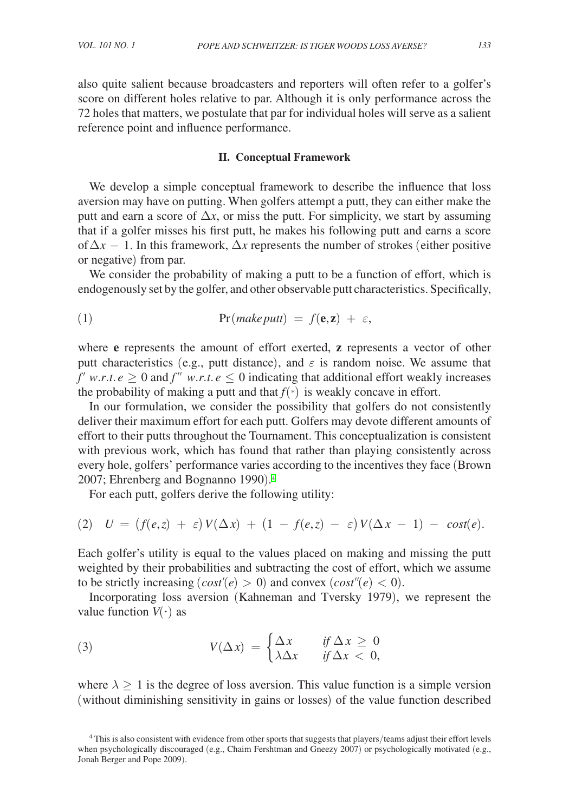also quite salient because broadcasters and reporters will often refer to a golfer's score on different holes relative to par. Although it is only performance across the 72 holes that matters, we postulate that par for individual holes will serve as a salient reference point and influence performance.

#### **II. Conceptual Framework**

We develop a simple conceptual framework to describe the influence that loss aversion may have on putting. When golfers attempt a putt, they can either make the putt and earn a score of  $\Delta x$ , or miss the putt. For simplicity, we start by assuming that if a golfer misses his first putt, he makes his following putt and earns a score of  $\Delta x - 1$ . In this framework,  $\Delta x$  represents the number of strokes (either positive or negative) from par.

We consider the probability of making a putt to be a function of effort, which is endogenously set by the golfer, and other observable putt characteristics. Specifically,

(1) 
$$
\Pr(makeput) = f(\mathbf{e}, \mathbf{z}) + \varepsilon,
$$

where **e** represents the amount of effort exerted, **z** represents a vector of other putt characteristics (e.g., putt distance), and  $\varepsilon$  is random noise. We assume that  $f'$  *w.r.t.*  $e \ge 0$  and  $f''$  *w.r.t.*  $e \le 0$  indicating that additional effort weakly increases the probability of making a putt and that  $f(*)$  is weakly concave in effort.

In our formulation, we consider the possibility that golfers do not consistently deliver their maximum effort for each putt. Golfers may devote different amounts of effort to their putts throughout the Tournament. This conceptualization is consistent with previous work, which has found that rather than playing consistently across every hole, golfers' performance varies according to the incentives they face (Brown 2007; Ehrenberg and Bognanno 1990). 4

For each putt, golfers derive the following utility:

$$
(2) \quad U = (f(e,z) + \varepsilon) V(\Delta x) + (1 - f(e,z) - \varepsilon) V(\Delta x - 1) - cost(e).
$$

Each golfer's utility is equal to the values placed on making and missing the putt weighted by their probabilities and subtracting the cost of effort, which we assume<br>to be strictly increasing  $(cos t'(e) > 0)$  and convex  $(cos t''(e) < 0)$ .<br>Incorporating loss aversion (Kahneman and Tversky 1979), we represent the<br> to be strictly increasing  $(cost'(e) > 0)$  and convex  $(cost''(e) < 0)$ .

Incorporating loss aversion (Kahneman and Tversky 1979), we represent the value function  $V(·)$  as

(3) 
$$
V(\Delta x) = \begin{cases} \Delta x & \text{if } \Delta x \ge 0 \\ \lambda \Delta x & \text{if } \Delta x < 0, \end{cases}
$$

where  $\lambda \geq 1$  is the degree of loss aversion. This value function is a simple version (without diminishing sensitivity in gains or losses) of the value function described

<sup>4</sup> This is also consistent with evidence from other sports that suggests that players/teams adjust their effort levels when psychologically discouraged (e.g., Chaim Fershtman and Gneezy 2007) or psychologically motivated (e.g., Jonah Berger and Pope 2009).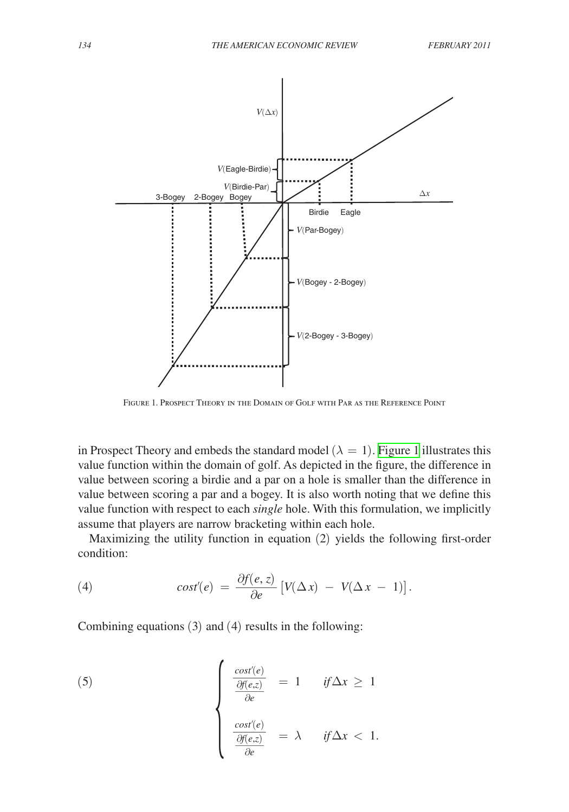

Figure 1. Prospect Theory in the Domain of Golf with Par as the Reference Point

in Prospect Theory and embeds the standard model ( $\lambda = 1$ ). Figure 1 illustrates this value function within the domain of golf. As depicted in the figure, the difference in value between scoring a birdie and a par on a hole is smaller than the difference in value between scoring a par and a bogey. It is also worth noting that we define this value function with respect to each *single* hole. With this formulation, we implicitly assume that players are narrow bracketing within each hole.

Maximizing the utility function in equation (2) yields the following first-order condition:

\n
$$
\text{condition:}\n \begin{aligned}\n \cos t'(e) &= \frac{\partial f(e, z)}{\partial e} \left[ V(\Delta x) - V(\Delta x - 1) \right].\n \end{aligned}
$$
\n

Combining equations (3) and (4) results in the following:

(5) 
$$
\begin{cases} \frac{\cos t'(e)}{\frac{\partial f(e,z)}{\partial e}} = 1 & \text{if } \Delta x \geq 1\\ \frac{\cos t'(e)}{\frac{\partial f(e,z)}{\partial e}} = \lambda & \text{if } \Delta x < 1. \end{cases}
$$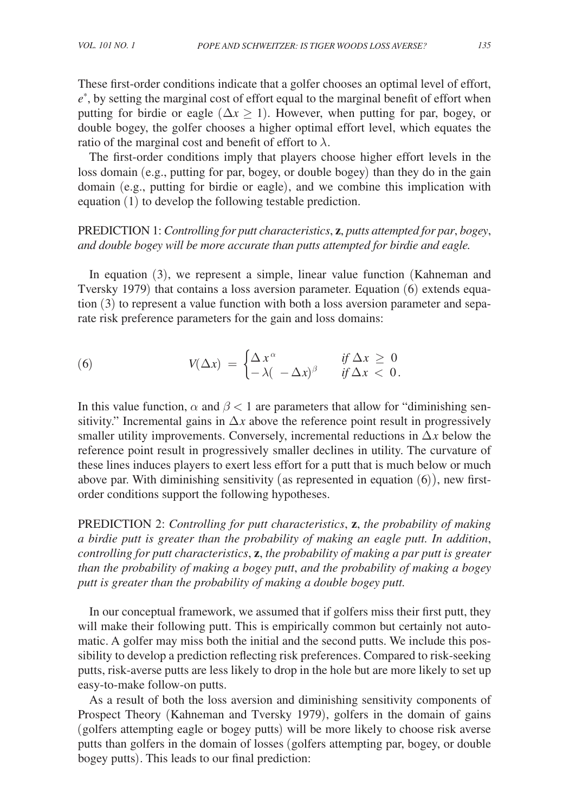These first-order conditions indicate that a golfer chooses an optimal level of effort, *e*\*, by setting the marginal cost of effort equal to the marginal benefit of effort when putting for birdie or eagle ( $\Delta x \ge 1$ ). However, when putting for par, bogey, or double bogey, the golfer chooses a higher optimal effort level, which equates the ratio of the marginal cost and benefit of effort to  $\lambda$ .

The first-order conditions imply that players choose higher effort levels in the loss domain (e.g., putting for par, bogey, or double bogey) than they do in the gain domain (e.g., putting for birdie or eagle), and we combine this implication with equation (1) to develop the following testable prediction.

### PREDICTION 1: *Controlling for putt characteristics*, **z**, *putts attempted for par*, *bogey*, *and double bogey will be more accurate than putts attempted for birdie and eagle.*

In equation (3), we represent a simple, linear value function (Kahneman and Tversky 1979) that contains a loss aversion parameter. Equation (6) extends equation (3) to represent a value function with both a loss aversion parameter and sepa-Figure 5.1 Equation 1.1 Equation 1.1 Equation 1.1 Equation 1.1 Equation 1.1 Equation 1.1 Equation 1.1 Equation 1.1 Equation 1.1 Equation 1.1 Equation 1.1 Equation 1.1 Equation 1.1 Equation 1.1 Equation 1.1 Equation 1.1 Eq

From (3) to represent a value function with both a loss aversion parameter is 
$$
y
$$
 to reference parameters for the gain and loss domains:

\n(6)

\n
$$
V(\Delta x) = \begin{cases} \Delta x^{\alpha} & \text{if } \Delta x \geq 0 \\ -\lambda(-\Delta x)^{\beta} & \text{if } \Delta x < 0. \end{cases}
$$

In this value function,  $\alpha$  and  $\beta$  < 1 are parameters that allow for "diminishing sensitivity." Incremental gains in  $\Delta x$  above the reference point result in progressively smaller utility improvements. Conversely, incremental reductions in  $\Delta x$  below the reference point result in progressively smaller declines in utility. The curvature of these lines induces players to exert less effort for a putt that is much below or much above par. With diminishing sensitivity (as represented in equation (6)), new firstorder conditions support the following hypotheses.

PREDICTION 2: *Controlling for putt characteristics*, **z**, *the probability of making a birdie putt is greater than the probability of making an eagle putt. In addition*, *controlling for putt characteristics*, **z**, *the probability of making a par putt is greater than the probability of making a bogey putt*, *and the probability of making a bogey putt is greater than the probability of making a double bogey putt.*

In our conceptual framework, we assumed that if golfers miss their first putt, they will make their following putt. This is empirically common but certainly not automatic. A golfer may miss both the initial and the second putts. We include this possibility to develop a prediction reflecting risk preferences. Compared to risk-seeking putts, risk-averse putts are less likely to drop in the hole but are more likely to set up easy-to-make follow-on putts.

As a result of both the loss aversion and diminishing sensitivity components of Prospect Theory (Kahneman and Tversky 1979), golfers in the domain of gains (golfers attempting eagle or bogey putts) will be more likely to choose risk averse putts than golfers in the domain of losses (golfers attempting par, bogey, or double bogey putts). This leads to our final prediction: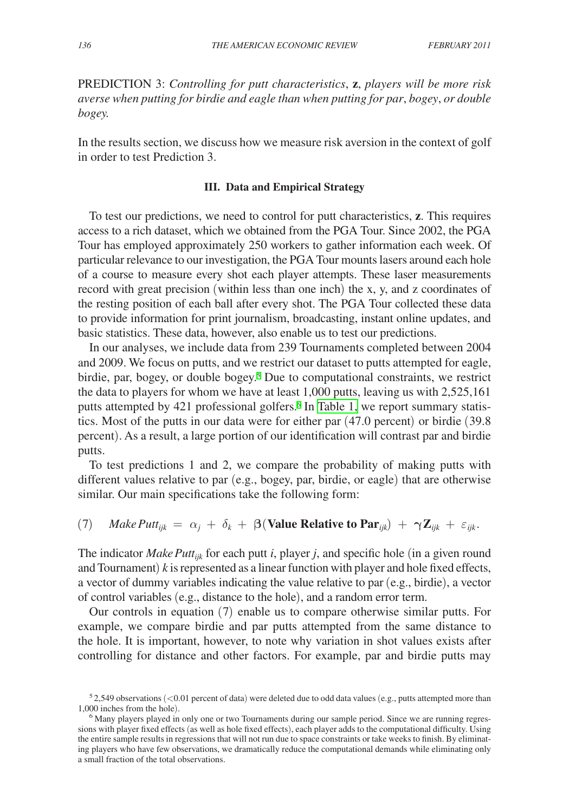PREDICTION 3: *Controlling for putt characteristics*, **z**, *players will be more risk averse when putting for birdie and eagle than when putting for par*, *bogey*, *or double bogey.*

In the results section, we discuss how we measure risk aversion in the context of golf in order to test Prediction 3.

#### **III. Data and Empirical Strategy**

To test our predictions, we need to control for putt characteristics, **z**. This requires access to a rich dataset, which we obtained from the PGA Tour. Since 2002, the PGA Tour has employed approximately 250 workers to gather information each week. Of particular relevance to our investigation, the PGA Tour mounts lasers around each hole of a course to measure every shot each player attempts. These laser measurements record with great precision (within less than one inch) the x, y, and z coordinates of the resting position of each ball after every shot. The PGA Tour collected these data to provide information for print journalism, broadcasting, instant online updates, and basic statistics. These data, however, also enable us to test our predictions.

In our analyses, we include data from 239 Tournaments completed between 2004 and 2009. We focus on putts, and we restrict our dataset to putts attempted for eagle, birdie, par, bogey, or double bogey.<sup>5</sup> Due to computational constraints, we restrict the data to players for whom we have at least 1,000 putts, leaving us with 2,525,161 putts attempted by 421 professional golfers.<sup>6</sup> In [Table 1,](#page-10-0) we report summary statistics. Most of the putts in our data were for either par (47.0 percent) or birdie (39.8 percent). As a result, a large portion of our identification will contrast par and birdie putts.

To test predictions 1 and 2, we compare the probability of making putts with different values relative to par (e.g., bogey, par, birdie, or eagle) that are otherwise similar. Our main specifications take the following form:

(7) Make Put
$$
t_{ijk} = \alpha_j + \delta_k + \beta
$$
 (Value Relative to Par<sub>ijk</sub>) +  $\gamma Z_{ijk} + \varepsilon_{ijk}$ .

The indicator *MakePuttijk* for each putt *i*, player *j*, and specific hole (in a given round and Tournament) *k* is represented as a linear function with player and hole fixed effects, a vector of dummy variables indicating the value relative to par (e.g., birdie), a vector of control variables (e.g., distance to the hole), and a random error term.

Our controls in equation (7) enable us to compare otherwise similar putts. For example, we compare birdie and par putts attempted from the same distance to the hole. It is important, however, to note why variation in shot values exists after controlling for distance and other factors. For example, par and birdie putts may

 $52,549$  observations (<0.01 percent of data) were deleted due to odd data values (e.g., putts attempted more than 1.000 inches from the hole).

 $6$  Many players played in only one or two Tournaments during our sample period. Since we are running regressions with player fixed effects (as well as hole fixed effects), each player adds to the computational difficulty. Using the entire sample results in regressions that will not run due to space constraints or take weeks to finish. By eliminating players who have few observations, we dramatically reduce the computational demands while eliminating only a small fraction of the total observations.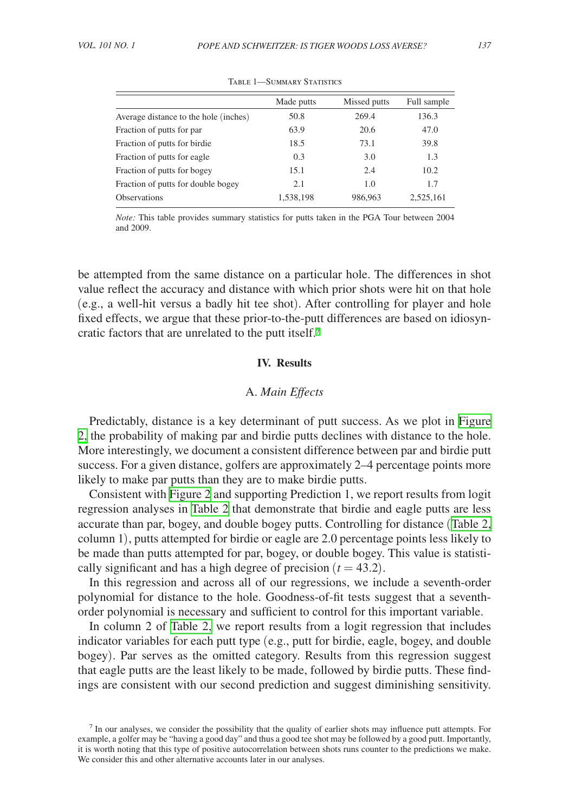<span id="page-10-0"></span>

|                                       | Made putts | Missed putts | Full sample |
|---------------------------------------|------------|--------------|-------------|
| Average distance to the hole (inches) | 50.8       | 269.4        | 136.3       |
| Fraction of putts for par             | 63.9       | 20.6         | 47.0        |
| Fraction of putts for birdie          | 18.5       | 73.1         | 39.8        |
| Fraction of putts for eagle           | 0.3        | 3.0          | 1.3         |
| Fraction of putts for bogey           | 15.1       | 2.4          | 10.2        |
| Fraction of putts for double bogey    | 2.1        | 1.0          | 1.7         |
| <b>Observations</b>                   | 1,538,198  | 986,963      | 2,525,161   |

Table 1—Summary Statistics

*Note:* This table provides summary statistics for putts taken in the PGA Tour between 2004 and 2009.

be attempted from the same distance on a particular hole. The differences in shot value reflect the accuracy and distance with which prior shots were hit on that hole (e.g., a well-hit versus a badly hit tee shot). After controlling for player and hole fixed effects, we argue that these prior-to-the-putt differences are based on idiosyncratic factors that are unrelated to the putt itself.7

#### **IV. Results**

#### A. *Main Effects*

Predictably, distance is a key determinant of putt success. As we plot in [Figure](#page-11-0) [2,](#page-11-0) the probability of making par and birdie putts declines with distance to the hole. More interestingly, we document a consistent difference between par and birdie putt success. For a given distance, golfers are approximately 2–4 percentage points more likely to make par putts than they are to make birdie putts.

Consistent with [Figure 2](#page-11-0) and supporting Prediction 1, we report results from logit regression analyses in [Table 2](#page-11-0) that demonstrate that birdie and eagle putts are less accurate than par, bogey, and double bogey putts. Controlling for distance ([Table 2,](#page-11-0) column 1), putts attempted for birdie or eagle are 2.0 percentage points less likely to be made than putts attempted for par, bogey, or double bogey. This value is statistically significant and has a high degree of precision  $(t = 43.2)$ .

In this regression and across all of our regressions, we include a seventh-order polynomial for distance to the hole. Goodness-of-fit tests suggest that a seventhorder polynomial is necessary and sufficient to control for this important variable.

In column 2 of [Table 2,](#page-11-0) we report results from a logit regression that includes indicator variables for each putt type (e.g., putt for birdie, eagle, bogey, and double bogey). Par serves as the omitted category. Results from this regression suggest that eagle putts are the least likely to be made, followed by birdie putts. These findings are consistent with our second prediction and suggest diminishing sensitivity.

 $<sup>7</sup>$  In our analyses, we consider the possibility that the quality of earlier shots may influence putt attempts. For</sup> example, a golfer may be "having a good day" and thus a good tee shot may be followed by a good putt. Importantly, it is worth noting that this type of positive autocorrelation between shots runs counter to the predictions we make. We consider this and other alternative accounts later in our analyses.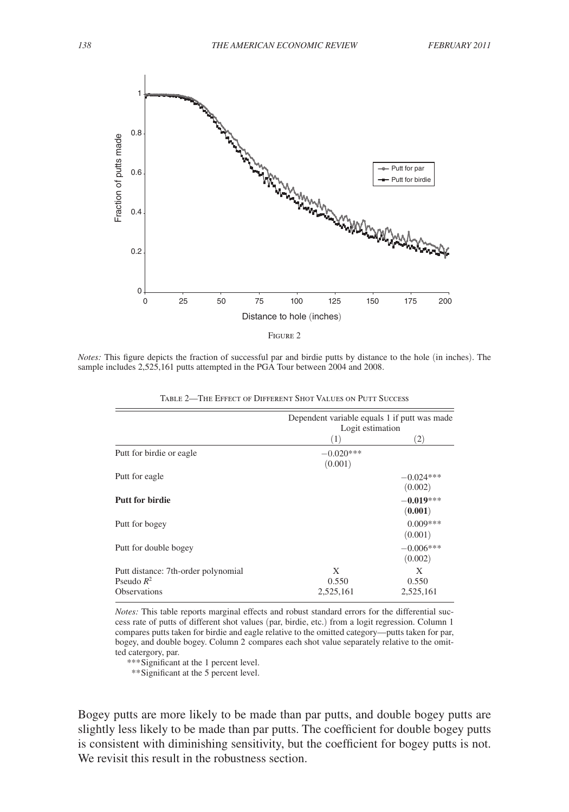<span id="page-11-0"></span>

Figure 2

*Notes:* This figure depicts the fraction of successful par and birdie putts by distance to the hole (in inches). The sample includes 2,525,161 putts attempted in the PGA Tour between 2004 and 2008.

|                                                                            | Dependent variable equals 1 if putt was made<br>Logit estimation |                         |
|----------------------------------------------------------------------------|------------------------------------------------------------------|-------------------------|
|                                                                            | (1)                                                              | (2)                     |
| Putt for birdie or eagle                                                   | $-0.020***$<br>(0.001)                                           |                         |
| Putt for eagle                                                             |                                                                  | $-0.024***$<br>(0.002)  |
| <b>Putt for birdie</b>                                                     |                                                                  | $-0.019***$<br>(0.001)  |
| Putt for bogey                                                             |                                                                  | $0.009***$<br>(0.001)   |
| Putt for double bogey                                                      |                                                                  | $-0.006***$<br>(0.002)  |
| Putt distance: 7th-order polynomial<br>Pseudo $R^2$<br><b>Observations</b> | X<br>0.550<br>2,525,161                                          | X<br>0.550<br>2,525,161 |

Table 2—The Effect of Different Shot Values on Putt Success

*Notes:* This table reports marginal effects and robust standard errors for the differential success rate of putts of different shot values (par, birdie, etc.) from a logit regression. Column 1 compares putts taken for birdie and eagle relative to the omitted category—putts taken for par, bogey, and double bogey. Column 2 compares each shot value separately relative to the omitted catergory, par.

*\*\*\**Significant at the 1 percent level.

*\*\**Significant at the 5 percent level.

Bogey putts are more likely to be made than par putts, and double bogey putts are slightly less likely to be made than par putts. The coefficient for double bogey putts is consistent with diminishing sensitivity, but the coefficient for bogey putts is not. We revisit this result in the robustness section.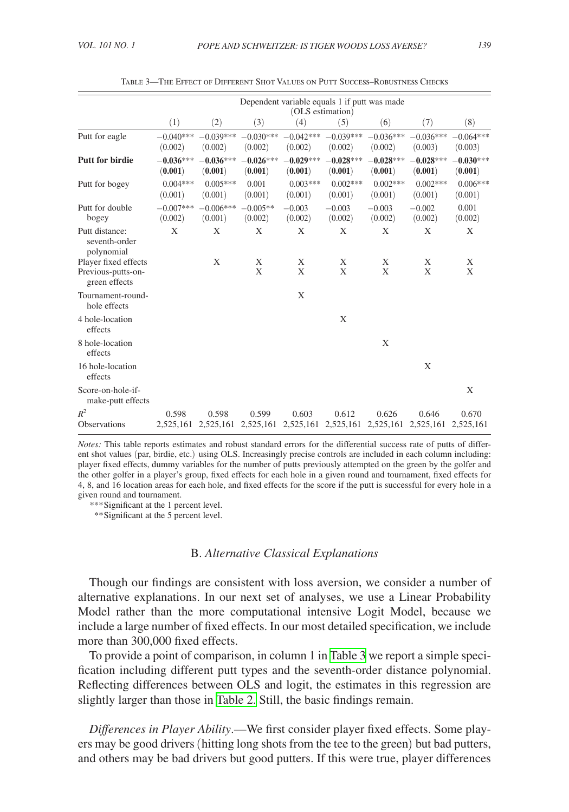<span id="page-12-0"></span>

|                                                             | Dependent variable equals 1 if putt was made<br>(OLS estimation) |                        |                        |                        |                               |                        |                        |                        |
|-------------------------------------------------------------|------------------------------------------------------------------|------------------------|------------------------|------------------------|-------------------------------|------------------------|------------------------|------------------------|
|                                                             | (1)                                                              | (2)                    | (3)                    | (4)                    | (5)                           | (6)                    | (7)                    | (8)                    |
| Putt for eagle                                              | $-0.040***$<br>(0.002)                                           | $-0.039***$<br>(0.002) | $-0.030***$<br>(0.002) | $-0.042***$<br>(0.002) | $-0.039***$<br>(0.002)        | $-0.036***$<br>(0.002) | $-0.036***$<br>(0.003) | $-0.064***$<br>(0.003) |
| <b>Putt for birdie</b>                                      | $-0.036***$<br>(0.001)                                           | $-0.036***$<br>(0.001) | $-0.026***$<br>(0.001) | $-0.029***$<br>(0.001) | $-0.028***$<br>(0.001)        | $-0.028***$<br>(0.001) | $-0.028***$<br>(0.001) | $-0.030***$<br>(0.001) |
| Putt for bogey                                              | $0.004***$<br>(0.001)                                            | $0.005***$<br>(0.001)  | 0.001<br>(0.001)       | $0.003***$<br>(0.001)  | $0.002***$<br>(0.001)         | $0.002***$<br>(0.001)  | $0.002***$<br>(0.001)  | $0.006***$<br>(0.001)  |
| Putt for double<br>bogey                                    | $-0.007***$<br>(0.002)                                           | $-0.006***$<br>(0.001) | $-0.005**$<br>(0.002)  | $-0.003$<br>(0.002)    | $-0.003$<br>(0.002)           | $-0.003$<br>(0.002)    | $-0.002$<br>(0.002)    | 0.001<br>(0.002)       |
| Putt distance:<br>seventh-order<br>polynomial               | X                                                                | X                      | X                      | X                      | X                             | X                      | X                      | X                      |
| Player fixed effects<br>Previous-putts-on-<br>green effects |                                                                  | X                      | X<br>X                 | X<br>X                 | X<br>X                        | X<br>$\mathbf x$       | X<br>X                 | X<br>X                 |
| Tournament-round-<br>hole effects                           |                                                                  |                        |                        | X                      |                               |                        |                        |                        |
| 4 hole-location<br>effects                                  |                                                                  |                        |                        |                        | X                             |                        |                        |                        |
| 8 hole-location<br>effects                                  |                                                                  |                        |                        |                        |                               | X                      |                        |                        |
| 16 hole-location<br>effects                                 |                                                                  |                        |                        |                        |                               |                        | X                      |                        |
| Score-on-hole-if-<br>make-putt effects                      |                                                                  |                        |                        |                        |                               |                        |                        | X                      |
| $R^2$                                                       | 0.598                                                            | 0.598                  | 0.599                  | 0.603                  | 0.612                         | 0.626                  | 0.646                  | 0.670                  |
| <b>Observations</b>                                         | 2,525,161                                                        | 2,525,161              | 2,525,161              |                        | 2,525,161 2,525,161 2,525,161 |                        | 2,525,161              | 2,525,161              |

Table 3—The Effect of Different Shot Values on Putt Success–Robustness Checks

*Notes:* This table reports estimates and robust standard errors for the differential success rate of putts of different shot values (par, birdie, etc.) using OLS. Increasingly precise controls are included in each column including: player fixed effects, dummy variables for the number of putts previously attempted on the green by the golfer and the other golfer in a player's group, fixed effects for each hole in a given round and tournament, fixed effects for 4, 8, and 16 location areas for each hole, and fixed effects for the score if the putt is successful for every hole in a given round and tournament.

*\*\*\**Significant at the 1 percent level.

*\*\**Significant at the 5 percent level.

#### B. *Alternative Classical Explanations*

Though our findings are consistent with loss aversion, we consider a number of alternative explanations. In our next set of analyses, we use a Linear Probability Model rather than the more computational intensive Logit Model, because we include a large number of fixed effects. In our most detailed specification, we include more than 300,000 fixed effects.

To provide a point of comparison, in column 1 in Table 3 we report a simple specification including different putt types and the seventh-order distance polynomial. Reflecting differences between OLS and logit, the estimates in this regression are slightly larger than those in [Table 2.](#page-11-0) Still, the basic findings remain.

*Differences in Player Ability*.—We first consider player fixed effects. Some players may be good drivers (hitting long shots from the tee to the green) but bad putters, and others may be bad drivers but good putters. If this were true, player differences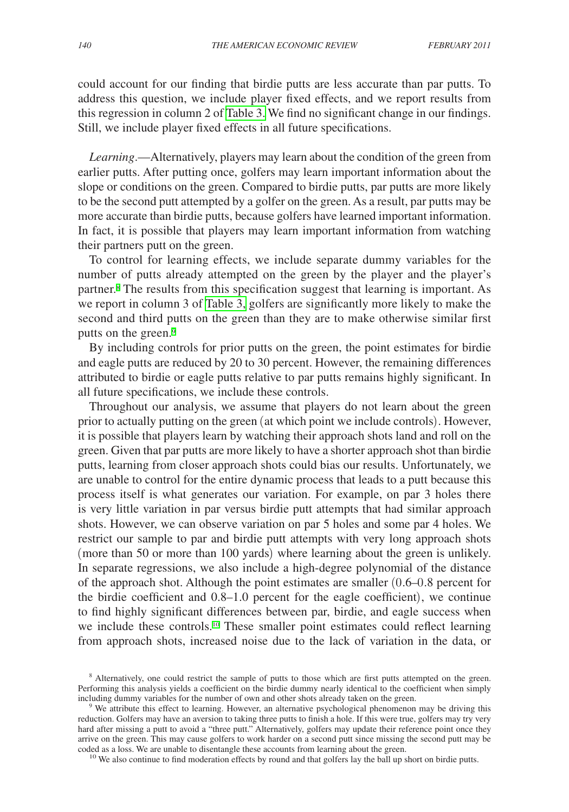could account for our finding that birdie putts are less accurate than par putts. To address this question, we include player fixed effects, and we report results from this regression in column 2 of [Table 3.](#page-12-0) We find no significant change in our findings. Still, we include player fixed effects in all future specifications.

*Learning*.—Alternatively, players may learn about the condition of the green from earlier putts. After putting once, golfers may learn important information about the slope or conditions on the green. Compared to birdie putts, par putts are more likely to be the second putt attempted by a golfer on the green. As a result, par putts may be more accurate than birdie putts, because golfers have learned important information. In fact, it is possible that players may learn important information from watching their partners putt on the green.

To control for learning effects, we include separate dummy variables for the number of putts already attempted on the green by the player and the player's partner.8 The results from this specification suggest that learning is important. As we report in column 3 of [Table 3,](#page-12-0) golfers are significantly more likely to make the second and third putts on the green than they are to make otherwise similar first putts on the green.<sup>9</sup>

By including controls for prior putts on the green, the point estimates for birdie and eagle putts are reduced by 20 to 30 percent. However, the remaining differences attributed to birdie or eagle putts relative to par putts remains highly significant. In all future specifications, we include these controls.

Throughout our analysis, we assume that players do not learn about the green prior to actually putting on the green (at which point we include controls). However, it is possible that players learn by watching their approach shots land and roll on the green. Given that par putts are more likely to have a shorter approach shot than birdie putts, learning from closer approach shots could bias our results. Unfortunately, we are unable to control for the entire dynamic process that leads to a putt because this process itself is what generates our variation. For example, on par 3 holes there is very little variation in par versus birdie putt attempts that had similar approach shots. However, we can observe variation on par 5 holes and some par 4 holes. We restrict our sample to par and birdie putt attempts with very long approach shots (more than 50 or more than 100 yards) where learning about the green is unlikely. In separate regressions, we also include a high-degree polynomial of the distance of the approach shot. Although the point estimates are smaller (0.6–0.8 percent for the birdie coefficient and 0.8–1.0 percent for the eagle coefficient), we continue to find highly significant differences between par, birdie, and eagle success when we include these controls.<sup>10</sup> These smaller point estimates could reflect learning from approach shots, increased noise due to the lack of variation in the data, or

<sup>&</sup>lt;sup>8</sup> Alternatively, one could restrict the sample of putts to those which are first putts attempted on the green. Performing this analysis yields a coefficient on the birdie dummy nearly identical to the coefficient when simply including dummy variables for the number of own and other shots already taken on the green. 9

<sup>&</sup>lt;sup>9</sup> We attribute this effect to learning. However, an alternative psychological phenomenon may be driving this reduction. Golfers may have an aversion to taking three putts to finish a hole. If this were true, golfers may try very hard after missing a putt to avoid a "three putt." Alternatively, golfers may update their reference point once they arrive on the green. This may cause golfers to work harder on a second putt since missing the second putt may be coded as a loss. We are unable to disentangle these accounts from learning about the green.<br><sup>10</sup> We also continue to find moderation effects by round and that golfers lay the ball up short on birdie putts.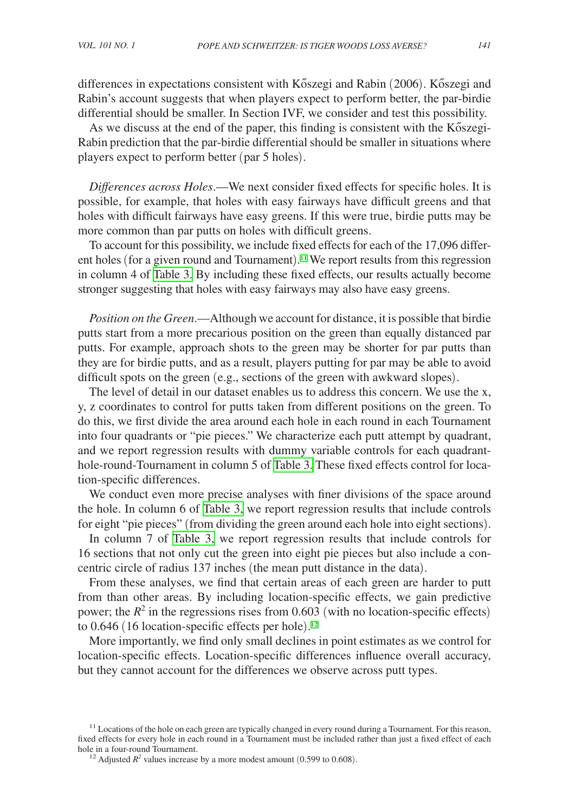differences in expectations consistent with Kőszegi and Rabin (2006). Kőszegi and Rabin's account suggests that when players expect to perform better, the par-birdie differential should be smaller. In Section IVF, we consider and test this possibility.

As we discuss at the end of the paper, this finding is consistent with the Kőszegi-Rabin prediction that the par-birdie differential should be smaller in situations where players expect to perform better (par 5 holes).

*Differences across Holes*.—We next consider fixed effects for specific holes. It is possible, for example, that holes with easy fairways have difficult greens and that holes with difficult fairways have easy greens. If this were true, birdie putts may be more common than par putts on holes with difficult greens.

To account for this possibility, we include fixed effects for each of the 17,096 different holes (for a given round and Tournament). 11 We report results from this regression in column 4 of [Table 3.](#page-12-0) By including these fixed effects, our results actually become stronger suggesting that holes with easy fairways may also have easy greens.

*Position on the Green*.—Although we account for distance, it is possible that birdie putts start from a more precarious position on the green than equally distanced par putts. For example, approach shots to the green may be shorter for par putts than they are for birdie putts, and as a result, players putting for par may be able to avoid difficult spots on the green (e.g., sections of the green with awkward slopes).

The level of detail in our dataset enables us to address this concern. We use the x, y, z coordinates to control for putts taken from different positions on the green. To do this, we first divide the area around each hole in each round in each Tournament into four quadrants or "pie pieces." We characterize each putt attempt by quadrant, and we report regression results with dummy variable controls for each quadranthole-round-Tournament in column 5 of [Table 3.](#page-12-0) These fixed effects control for location-specific differences.

We conduct even more precise analyses with finer divisions of the space around the hole. In column 6 of [Table 3,](#page-12-0) we report regression results that include controls for eight "pie pieces" (from dividing the green around each hole into eight sections).

In column 7 of [Table 3,](#page-12-0) we report regression results that include controls for 16 sections that not only cut the green into eight pie pieces but also include a concentric circle of radius 137 inches (the mean putt distance in the data).

From these analyses, we find that certain areas of each green are harder to putt from than other areas. By including location-specific effects, we gain predictive power; the  $R^2$  in the regressions rises from 0.603 (with no location-specific effects) to 0.646 (16 location-specific effects per hole). 12

More importantly, we find only small declines in point estimates as we control for location-specific effects. Location-specific differences influence overall accuracy, but they cannot account for the differences we observe across putt types.

<sup>&</sup>lt;sup>11</sup> Locations of the hole on each green are typically changed in every round during a Tournament. For this reason, fixed effects for every hole in each round in a Tournament must be included rather than just a fixed effect of each hole in a four-round Tournament.<br><sup>12</sup> Adjusted *R*<sup>2</sup> values increase by a more modest amount (0.599 to 0.608).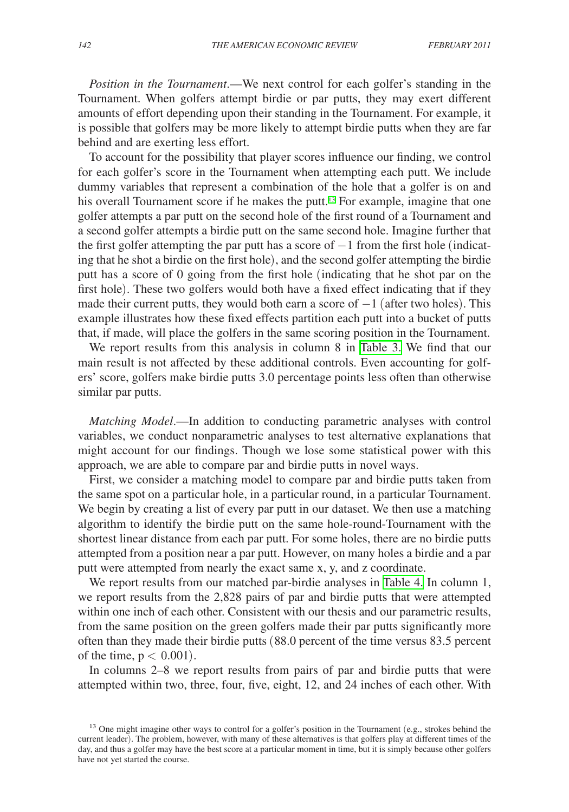*Position in the Tournament*.—We next control for each golfer's standing in the Tournament. When golfers attempt birdie or par putts, they may exert different amounts of effort depending upon their standing in the Tournament. For example, it is possible that golfers may be more likely to attempt birdie putts when they are far behind and are exerting less effort.

To account for the possibility that player scores influence our finding, we control for each golfer's score in the Tournament when attempting each putt. We include dummy variables that represent a combination of the hole that a golfer is on and his overall Tournament score if he makes the putt.<sup>13</sup> For example, imagine that one golfer attempts a par putt on the second hole of the first round of a Tournament and a second golfer attempts a birdie putt on the same second hole. Imagine further that the first golfer attempting the par putt has a score of  $-1$  from the first hole (indicating that he shot a birdie on the first hole), and the second golfer attempting the birdie putt has a score of 0 going from the first hole (indicating that he shot par on the first hole). These two golfers would both have a fixed effect indicating that if they made their current putts, they would both earn a score of −1 (after two holes). This example illustrates how these fixed effects partition each putt into a bucket of putts that, if made, will place the golfers in the same scoring position in the Tournament.

We report results from this analysis in column 8 in [Table 3.](#page-12-0) We find that our main result is not affected by these additional controls. Even accounting for golfers' score, golfers make birdie putts 3.0 percentage points less often than otherwise similar par putts.

*Matching Model*.—In addition to conducting parametric analyses with control variables, we conduct nonparametric analyses to test alternative explanations that might account for our findings. Though we lose some statistical power with this approach, we are able to compare par and birdie putts in novel ways.

First, we consider a matching model to compare par and birdie putts taken from the same spot on a particular hole, in a particular round, in a particular Tournament. We begin by creating a list of every par putt in our dataset. We then use a matching algorithm to identify the birdie putt on the same hole-round-Tournament with the shortest linear distance from each par putt. For some holes, there are no birdie putts attempted from a position near a par putt. However, on many holes a birdie and a par putt were attempted from nearly the exact same x, y, and z coordinate.

We report results from our matched par-birdie analyses in [Table 4.](#page-16-0) In column 1, we report results from the 2,828 pairs of par and birdie putts that were attempted within one inch of each other. Consistent with our thesis and our parametric results, from the same position on the green golfers made their par putts significantly more often than they made their birdie putts (88.0 percent of the time versus 83.5 percent of the time,  $p < 0.001$ ).

In columns 2–8 we report results from pairs of par and birdie putts that were attempted within two, three, four, five, eight, 12, and 24 inches of each other. With

<sup>&</sup>lt;sup>13</sup> One might imagine other ways to control for a golfer's position in the Tournament (e.g., strokes behind the current leader). The problem, however, with many of these alternatives is that golfers play at different times of the day, and thus a golfer may have the best score at a particular moment in time, but it is simply because other golfers have not yet started the course.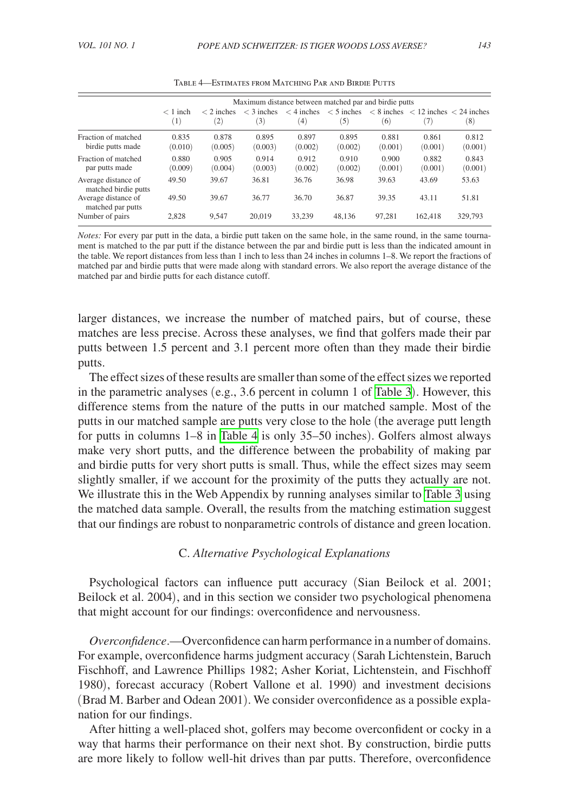<span id="page-16-0"></span>

|                                             |                        | Maximum distance between matched par and birdie putts |                                  |                          |                    |                  |                                                |                  |  |  |  |
|---------------------------------------------|------------------------|-------------------------------------------------------|----------------------------------|--------------------------|--------------------|------------------|------------------------------------------------|------------------|--|--|--|
|                                             | $<$ 1 inch<br>$^{(1)}$ | $<$ 2 inches<br>(2)                                   | $<$ 3 inches<br>$\left(3\right)$ | $<$ 4 inches<br>$^{(4)}$ | $<$ 5 inches<br>5) | (6)              | $< 8$ inches $< 12$ inches $< 24$ inches<br>7) | $^{(8)}$         |  |  |  |
| Fraction of matched<br>birdie putts made    | 0.835<br>(0.010)       | 0.878<br>(0.005)                                      | 0.895<br>(0.003)                 | 0.897<br>(0.002)         | 0.895<br>(0.002)   | 0.881<br>(0.001) | 0.861<br>(0.001)                               | 0.812<br>(0.001) |  |  |  |
| Fraction of matched<br>par putts made       | 0.880<br>(0.009)       | 0.905<br>(0.004)                                      | 0.914<br>(0.003)                 | 0.912<br>(0.002)         | 0.910<br>(0.002)   | 0.900<br>(0.001) | 0.882<br>(0.001)                               | 0.843<br>(0.001) |  |  |  |
| Average distance of<br>matched birdie putts | 49.50                  | 39.67                                                 | 36.81                            | 36.76                    | 36.98              | 39.63            | 43.69                                          | 53.63            |  |  |  |
| Average distance of<br>matched par putts    | 49.50                  | 39.67                                                 | 36.77                            | 36.70                    | 36.87              | 39.35            | 43.11                                          | 51.81            |  |  |  |
| Number of pairs                             | 2.828                  | 9.547                                                 | 20.019                           | 33.239                   | 48.136             | 97.281           | 162.418                                        | 329,793          |  |  |  |

Table 4—Estimates from Matching Par and Birdie Putts

*Notes:* For every par putt in the data, a birdie putt taken on the same hole, in the same round, in the same tournament is matched to the par putt if the distance between the par and birdie putt is less than the indicated amount in the table. We report distances from less than 1 inch to less than 24 inches in columns 1–8. We report the fractions of matched par and birdie putts that were made along with standard errors. We also report the average distance of the matched par and birdie putts for each distance cutoff.

larger distances, we increase the number of matched pairs, but of course, these matches are less precise. Across these analyses, we find that golfers made their par putts between 1.5 percent and 3.1 percent more often than they made their birdie putts.

The effect sizes of these results are smaller than some of the effect sizes we reported in the parametric analyses (e.g., 3.6 percent in column 1 of [Table 3](#page-12-0)). However, this difference stems from the nature of the putts in our matched sample. Most of the putts in our matched sample are putts very close to the hole (the average putt length for putts in columns 1–8 in Table 4 is only 35–50 inches). Golfers almost always make very short putts, and the difference between the probability of making par and birdie putts for very short putts is small. Thus, while the effect sizes may seem slightly smaller, if we account for the proximity of the putts they actually are not. We illustrate this in the Web Appendix by running analyses similar to [Table](#page-12-0) 3 using the matched data sample. Overall, the results from the matching estimation suggest that our findings are robust to nonparametric controls of distance and green location.

#### C. *Alternative Psychological Explanations*

Psychological factors can influence putt accuracy (Sian Beilock et al. 2001; Beilock et al. 2004), and in this section we consider two psychological phenomena that might account for our findings: overconfidence and nervousness.

*Overconfidence*.—Overconfidence can harm performance in a number of domains. For example, overconfidence harms judgment accuracy (Sarah Lichtenstein, Baruch Fischhoff, and Lawrence Phillips 1982; Asher Koriat, Lichtenstein, and Fischhoff 1980), forecast accuracy (Robert Vallone et al. 1990) and investment decisions (Brad M. Barber and Odean 2001). We consider overconfidence as a possible explanation for our findings.

After hitting a well-placed shot, golfers may become overconfident or cocky in a way that harms their performance on their next shot. By construction, birdie putts are more likely to follow well-hit drives than par putts. Therefore, overconfidence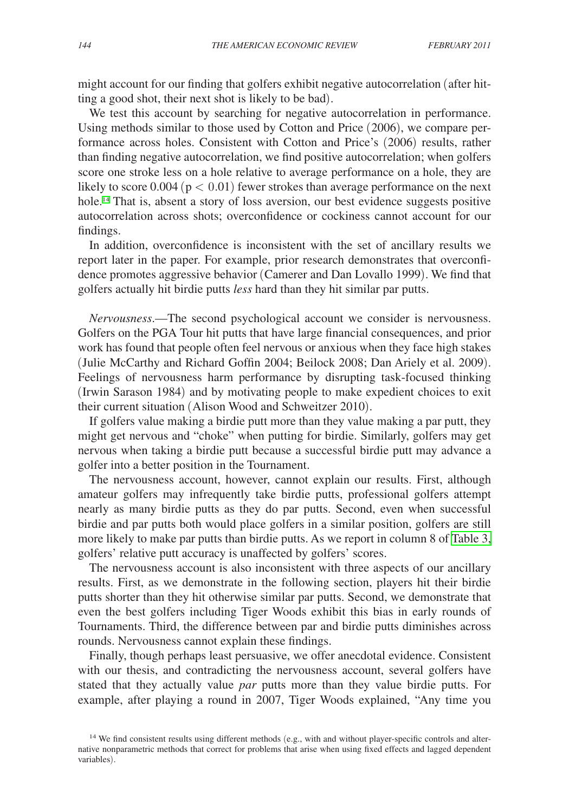might account for our finding that golfers exhibit negative autocorrelation (after hitting a good shot, their next shot is likely to be bad).

We test this account by searching for negative autocorrelation in performance. Using methods similar to those used by Cotton and Price (2006), we compare performance across holes. Consistent with Cotton and Price's (2006) results, rather than finding negative autocorrelation, we find positive autocorrelation; when golfers score one stroke less on a hole relative to average performance on a hole, they are likely to score  $0.004$  ( $p < 0.01$ ) fewer strokes than average performance on the next hole.14 That is, absent a story of loss aversion, our best evidence suggests positive autocorrelation across shots; overconfidence or cockiness cannot account for our findings.

In addition, overconfidence is inconsistent with the set of ancillary results we report later in the paper. For example, prior research demonstrates that overconfidence promotes aggressive behavior (Camerer and Dan Lovallo 1999). We find that golfers actually hit birdie putts *less* hard than they hit similar par putts.

*Nervousness*.—The second psychological account we consider is nervousness. Golfers on the PGA Tour hit putts that have large financial consequences, and prior work has found that people often feel nervous or anxious when they face high stakes (Julie McCarthy and Richard Goffin 2004; Beilock 2008; Dan Ariely et al. 2009). Feelings of nervousness harm performance by disrupting task-focused thinking (Irwin Sarason 1984) and by motivating people to make expedient choices to exit their current situation (Alison Wood and Schweitzer 2010).

If golfers value making a birdie putt more than they value making a par putt, they might get nervous and "choke" when putting for birdie. Similarly, golfers may get nervous when taking a birdie putt because a successful birdie putt may advance a golfer into a better position in the Tournament.

The nervousness account, however, cannot explain our results. First, although amateur golfers may infrequently take birdie putts, professional golfers attempt nearly as many birdie putts as they do par putts. Second, even when successful birdie and par putts both would place golfers in a similar position, golfers are still more likely to make par putts than birdie putts. As we report in column 8 of [Table 3,](#page-12-0)  golfers' relative putt accuracy is unaffected by golfers' scores.

The nervousness account is also inconsistent with three aspects of our ancillary results. First, as we demonstrate in the following section, players hit their birdie putts shorter than they hit otherwise similar par putts. Second, we demonstrate that even the best golfers including Tiger Woods exhibit this bias in early rounds of Tournaments. Third, the difference between par and birdie putts diminishes across rounds. Nervousness cannot explain these findings.

Finally, though perhaps least persuasive, we offer anecdotal evidence. Consistent with our thesis, and contradicting the nervousness account, several golfers have stated that they actually value *par* putts more than they value birdie putts. For example, after playing a round in 2007, Tiger Woods explained, "Any time you

<sup>&</sup>lt;sup>14</sup> We find consistent results using different methods (e.g., with and without player-specific controls and alternative nonparametric methods that correct for problems that arise when using fixed effects and lagged dependent variables).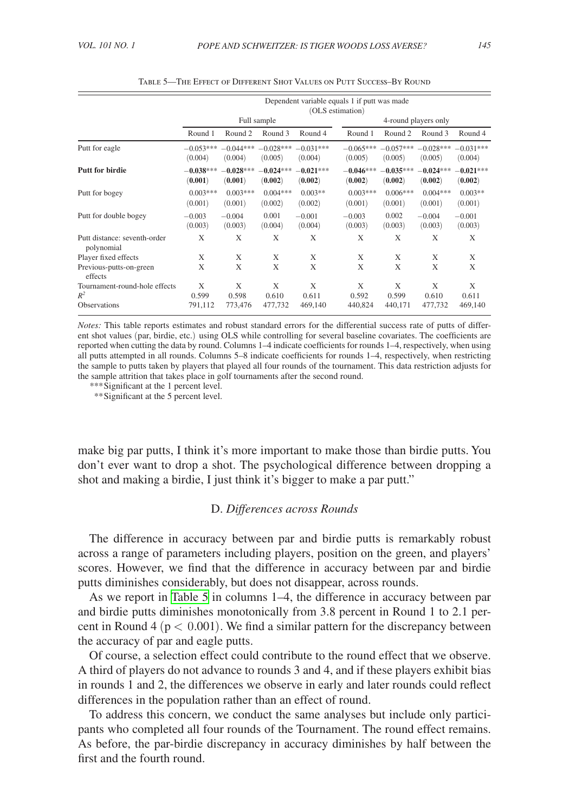|                                            |                        | Dependent variable equals 1 if putt was made<br>(OLS estimation) |                        |                        |                        |                        |                        |                        |  |
|--------------------------------------------|------------------------|------------------------------------------------------------------|------------------------|------------------------|------------------------|------------------------|------------------------|------------------------|--|
|                                            |                        |                                                                  | Full sample            |                        |                        |                        | 4-round players only   |                        |  |
|                                            | Round 1                | Round 2                                                          | Round 3                | Round 4                | Round 1                | Round 2                | Round 3                | Round 4                |  |
| Putt for eagle                             | $-0.053***$<br>(0.004) | $-0.044***$<br>(0.004)                                           | $-0.028***$<br>(0.005) | $-0.031***$<br>(0.004) | $-0.065***$<br>(0.005) | $-0.057***$<br>(0.005) | $-0.028***$<br>(0.005) | $-0.031***$<br>(0.004) |  |
| <b>Putt for birdie</b>                     | $-0.038***$<br>(0.001) | $-0.028***$<br>(0.001)                                           | $-0.024***$<br>(0.002) | $-0.021***$<br>(0.002) | $-0.046***$<br>(0.002) | $-0.035***$<br>(0.002) | $-0.024***$<br>(0.002) | $-0.021***$<br>(0.002) |  |
| Putt for bogey                             | $0.003***$<br>(0.001)  | $0.003***$<br>(0.001)                                            | $0.004***$<br>(0.002)  | $0.003**$<br>(0.002)   | $0.003***$<br>(0.001)  | $0.006***$<br>(0.001)  | $0.004***$<br>(0.001)  | $0.003**$<br>(0.001)   |  |
| Putt for double bogey                      | $-0.003$<br>(0.003)    | $-0.004$<br>(0.003)                                              | 0.001<br>(0.004)       | $-0.001$<br>(0.004)    | $-0.003$<br>(0.003)    | 0.002<br>(0.003)       | $-0.004$<br>(0.003)    | $-0.001$<br>(0.003)    |  |
| Putt distance: seventh-order<br>polynomial | X                      | X                                                                | X                      | X                      | X                      | X                      | X                      | X                      |  |
| Player fixed effects                       | X                      | X                                                                | X                      | X                      | X                      | X                      | X                      | X                      |  |
| Previous-putts-on-green<br>effects         | X                      | X                                                                | X                      | X                      | X                      | X                      | X                      | X                      |  |
| Tournament-round-hole effects              | X                      | X                                                                | X                      | X                      | X                      | X                      | X                      | X                      |  |
| $R^2$                                      | 0.599                  | 0.598                                                            | 0.610                  | 0.611                  | 0.592                  | 0.599                  | 0.610                  | 0.611                  |  |
| <b>Observations</b>                        | 791,112                | 773,476                                                          | 477,732                | 469,140                | 440,824                | 440,171                | 477,732                | 469,140                |  |

| TABLE 5—THE EFFECT OF DIFFERENT SHOT VALUES ON PUTT SUCCESS–BY ROUND |  |  |
|----------------------------------------------------------------------|--|--|
|----------------------------------------------------------------------|--|--|

*Notes:* This table reports estimates and robust standard errors for the differential success rate of putts of different shot values (par, birdie, etc.) using OLS while controlling for several baseline covariates. The coefficients are reported when cutting the data by round. Columns 1–4 indicate coefficients for rounds 1–4, respectively, when using all putts attempted in all rounds. Columns 5–8 indicate coefficients for rounds 1–4, respectively, when restricting the sample to putts taken by players that played all four rounds of the tournament. This data restriction adjusts for the sample attrition that takes place in golf tournaments after the second round.

*\*\*\**Significant at the 1 percent level.

*\*\**Significant at the 5 percent level.

make big par putts, I think it's more important to make those than birdie putts. You don't ever want to drop a shot. The psychological difference between dropping a shot and making a birdie, I just think it's bigger to make a par putt."

#### D. *Differences across Rounds*

The difference in accuracy between par and birdie putts is remarkably robust across a range of parameters including players, position on the green, and players' scores. However, we find that the difference in accuracy between par and birdie putts diminishes considerably, but does not disappear, across rounds.

As we report in Table 5 in columns 1–4, the difference in accuracy between par and birdie putts diminishes monotonically from 3.8 percent in Round 1 to 2.1 percent in Round 4 ( $p < 0.001$ ). We find a similar pattern for the discrepancy between the accuracy of par and eagle putts.

Of course, a selection effect could contribute to the round effect that we observe. A third of players do not advance to rounds 3 and 4, and if these players exhibit bias in rounds 1 and 2, the differences we observe in early and later rounds could reflect differences in the population rather than an effect of round.

To address this concern, we conduct the same analyses but include only participants who completed all four rounds of the Tournament. The round effect remains. As before, the par-birdie discrepancy in accuracy diminishes by half between the first and the fourth round.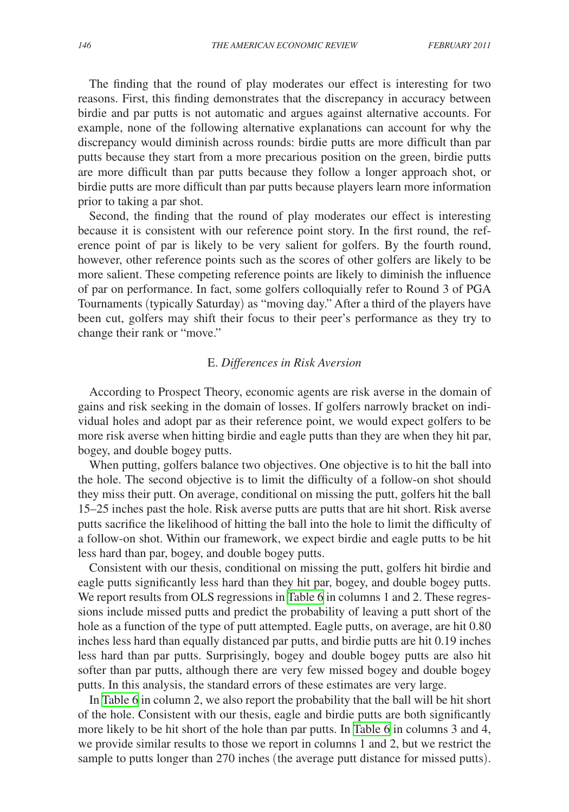The finding that the round of play moderates our effect is interesting for two reasons. First, this finding demonstrates that the discrepancy in accuracy between birdie and par putts is not automatic and argues against alternative accounts. For example, none of the following alternative explanations can account for why the discrepancy would diminish across rounds: birdie putts are more difficult than par putts because they start from a more precarious position on the green, birdie putts are more difficult than par putts because they follow a longer approach shot, or birdie putts are more difficult than par putts because players learn more information prior to taking a par shot.

Second, the finding that the round of play moderates our effect is interesting because it is consistent with our reference point story. In the first round, the reference point of par is likely to be very salient for golfers. By the fourth round, however, other reference points such as the scores of other golfers are likely to be more salient. These competing reference points are likely to diminish the influence of par on performance. In fact, some golfers colloquially refer to Round 3 of PGA Tournaments (typically Saturday) as "moving day." After a third of the players have been cut, golfers may shift their focus to their peer's performance as they try to change their rank or "move."

#### E. *Differences in Risk Aversion*

According to Prospect Theory, economic agents are risk averse in the domain of gains and risk seeking in the domain of losses. If golfers narrowly bracket on individual holes and adopt par as their reference point, we would expect golfers to be more risk averse when hitting birdie and eagle putts than they are when they hit par, bogey, and double bogey putts.

When putting, golfers balance two objectives. One objective is to hit the ball into the hole. The second objective is to limit the difficulty of a follow-on shot should they miss their putt. On average, conditional on missing the putt, golfers hit the ball 15–25 inches past the hole. Risk averse putts are putts that are hit short. Risk averse putts sacrifice the likelihood of hitting the ball into the hole to limit the difficulty of a follow-on shot. Within our framework, we expect birdie and eagle putts to be hit less hard than par, bogey, and double bogey putts.

Consistent with our thesis, conditional on missing the putt, golfers hit birdie and eagle putts significantly less hard than they hit par, bogey, and double bogey putts. We report results from OLS regressions in [Table 6](#page-20-0) in columns 1 and 2. These regressions include missed putts and predict the probability of leaving a putt short of the hole as a function of the type of putt attempted. Eagle putts, on average, are hit 0.80 inches less hard than equally distanced par putts, and birdie putts are hit 0.19 inches less hard than par putts. Surprisingly, bogey and double bogey putts are also hit softer than par putts, although there are very few missed bogey and double bogey putts. In this analysis, the standard errors of these estimates are very large.

In [Table 6](#page-20-0) in column 2, we also report the probability that the ball will be hit short of the hole. Consistent with our thesis, eagle and birdie putts are both significantly more likely to be hit short of the hole than par putts. In [Table 6](#page-20-0) in columns 3 and 4, we provide similar results to those we report in columns 1 and 2, but we restrict the sample to putts longer than 270 inches (the average putt distance for missed putts).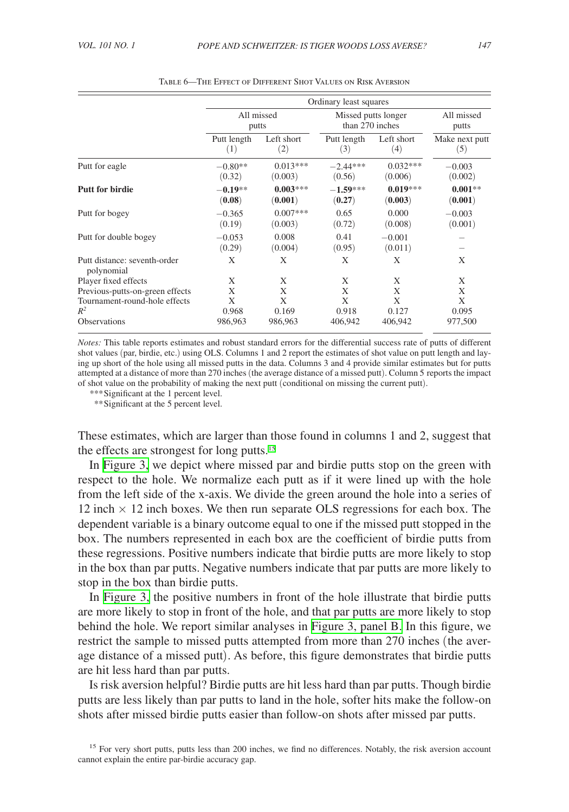<span id="page-20-0"></span>

|                                            |                     |                       | Ordinary least squares |                                        |                       |  |
|--------------------------------------------|---------------------|-----------------------|------------------------|----------------------------------------|-----------------------|--|
|                                            | All missed<br>putts |                       |                        | Missed putts longer<br>than 270 inches |                       |  |
|                                            | Putt length<br>(1)  | Left short<br>(2)     | Putt length<br>(3)     | Left short<br>(4)                      | Make next putt<br>(5) |  |
| Putt for eagle                             | $-0.80**$<br>(0.32) | $0.013***$<br>(0.003) | $-2.44***$<br>(0.56)   | $0.032***$<br>(0.006)                  | $-0.003$<br>(0.002)   |  |
| <b>Putt for birdie</b>                     | $-0.19**$<br>(0.08) | $0.003***$<br>(0.001) | $-1.59***$<br>(0.27)   | $0.019***$<br>(0.003)                  | $0.001**$<br>(0.001)  |  |
| Putt for bogey                             | $-0.365$<br>(0.19)  | $0.007***$<br>(0.003) | 0.65<br>(0.72)         | 0.000<br>(0.008)                       | $-0.003$<br>(0.001)   |  |
| Putt for double bogey                      | $-0.053$<br>(0.29)  | 0.008<br>(0.004)      | 0.41<br>(0.95)         | $-0.001$<br>(0.011)                    |                       |  |
| Putt distance: seventh-order<br>polynomial | X                   | X                     | X                      | X                                      | X                     |  |
| Player fixed effects                       | X                   | X                     | X                      | X                                      | X                     |  |
| Previous-putts-on-green effects            | X                   | X                     | X                      | X                                      | X                     |  |
| Tournament-round-hole effects              | X                   | X                     | X                      | X                                      | X                     |  |
| $R^2$                                      | 0.968               | 0.169                 | 0.918                  | 0.127                                  | 0.095                 |  |
| <b>Observations</b>                        | 986,963             | 986,963               | 406,942                | 406,942                                | 977,500               |  |

Table 6—The Effect of Different Shot Values on Risk Aversion

*Notes:* This table reports estimates and robust standard errors for the differential success rate of putts of different shot values (par, birdie, etc.) using OLS. Columns 1 and 2 report the estimates of shot value on putt length and laying up short of the hole using all missed putts in the data. Columns 3 and 4 provide similar estimates but for putts attempted at a distance of more than 270 inches (the average distance of a missed putt). Column 5 reports the impact of shot value on the probability of making the next putt (conditional on missing the current putt).

*\*\*\**Significant at the 1 percent level.

*\*\**Significant at the 5 percent level.

These estimates, which are larger than those found in columns 1 and 2, suggest that the effects are strongest for long putts.15

In [Figure 3,](#page-21-0) we depict where missed par and birdie putts stop on the green with respect to the hole. We normalize each putt as if it were lined up with the hole from the left side of the x-axis. We divide the green around the hole into a series of 12 inch  $\times$  12 inch boxes. We then run separate OLS regressions for each box. The dependent variable is a binary outcome equal to one if the missed putt stopped in the box. The numbers represented in each box are the coefficient of birdie putts from these regressions. Positive numbers indicate that birdie putts are more likely to stop in the box than par putts. Negative numbers indicate that par putts are more likely to stop in the box than birdie putts.

In [Figure 3,](#page-21-0) the positive numbers in front of the hole illustrate that birdie putts are more likely to stop in front of the hole, and that par putts are more likely to stop behind the hole. We report similar analyses in [Figure 3, panel B.](#page-21-0) In this figure, we restrict the sample to missed putts attempted from more than 270 inches (the average distance of a missed putt). As before, this figure demonstrates that birdie putts are hit less hard than par putts.

Is risk aversion helpful? Birdie putts are hit less hard than par putts. Though birdie putts are less likely than par putts to land in the hole, softer hits make the follow-on shots after missed birdie putts easier than follow-on shots after missed par putts.

<sup>&</sup>lt;sup>15</sup> For very short putts, putts less than 200 inches, we find no differences. Notably, the risk aversion account cannot explain the entire par-birdie accuracy gap.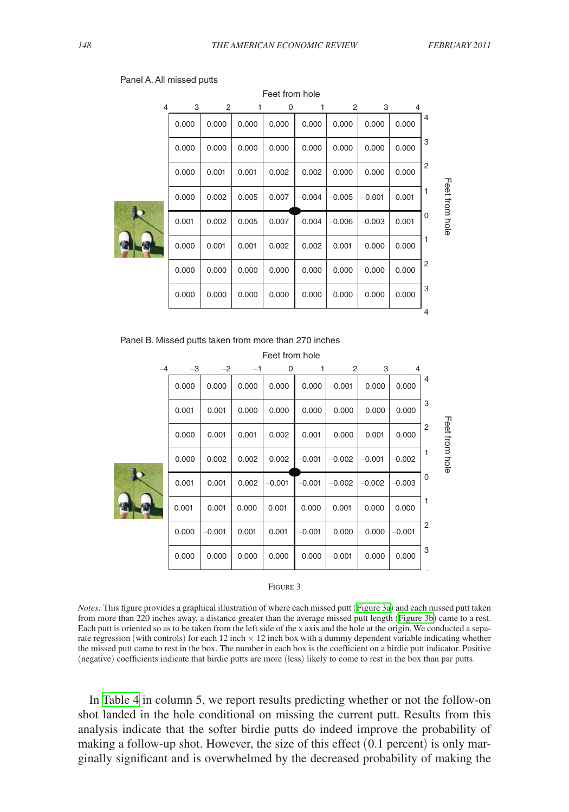Feet from hole

| $-4$ | $-3$  | $-2$  | $-1$  | 0     |          | 2        | 3        | 4     |                  |
|------|-------|-------|-------|-------|----------|----------|----------|-------|------------------|
|      | 0.000 | 0.000 | 0.000 | 0.000 | 0.000    | 0.000    | 0.000    | 0.000 | $\overline{4}$   |
|      | 0.000 | 0.000 | 0.000 | 0.000 | 0.000    | 0.000    | 0.000    | 0.000 | 3                |
|      | 0.000 | 0.001 | 0.001 | 0.002 | 0.002    | 0.000    | 0.000    | 0.000 | $\overline{2}$   |
|      | 0.000 | 0.002 | 0.005 | 0.007 | $-0.004$ | $-0.005$ | $-0.001$ | 0.001 | Feet from<br>1   |
|      | 0.001 | 0.002 | 0.005 | 0.007 | $-0.004$ | $-0.006$ | $-0.003$ | 0.001 | $\Omega$<br>hole |
|      | 0.000 | 0.001 | 0.001 | 0.002 | 0.002    | 0.001    | 0.000    | 0.000 | 1                |
|      | 0.000 | 0.000 | 0.000 | 0.000 | 0.000    | 0.000    | 0.000    | 0.000 | 2                |
|      | 0.000 | 0.000 | 0.000 | 0.000 | 0.000    | 0.000    | 0.000    | 0.000 | 3                |
|      |       |       |       |       |          |          |          |       | 4                |

#### <span id="page-21-0"></span>Panel A. All missed putts

Panel B. Missed putts taken from more than 270 inches

|                                                      | 0.000 | 0.002    | 0.005 | 0.007          | $-0.004$ | $-0.005$       | $-0.001$ | 0.001    | $\mathbf{1}$   |                |
|------------------------------------------------------|-------|----------|-------|----------------|----------|----------------|----------|----------|----------------|----------------|
|                                                      | 0.001 | 0.002    | 0.005 | 0.007          | $-0.004$ | $-0.006$       | $-0.003$ | 0.001    | $\mathbf 0$    | Feet from hole |
|                                                      | 0.000 | 0.001    | 0.001 | 0.002          | 0.002    | 0.001          | 0.000    | 0.000    | 1              |                |
|                                                      | 0.000 | 0.000    | 0.000 | 0.000          | 0.000    | 0.000          | 0.000    | 0.000    | $\overline{c}$ |                |
|                                                      | 0.000 | 0.000    | 0.000 | 0.000          | 0.000    | 0.000          | 0.000    | 0.000    | 3              |                |
|                                                      |       |          |       |                |          |                |          |          | 4              |                |
| anel B. Missed putts taken from more than 270 inches |       |          |       |                |          |                |          |          |                |                |
|                                                      |       |          |       | Feet from hole |          |                |          |          |                |                |
| $-4$                                                 | $-3$  | $-2$     | $-1$  | 0              | 1        | $\overline{c}$ | 3        | 4        | 4              |                |
|                                                      | 0.000 | 0.000    | 0.000 | 0.000          | 0.000    | $-0.001$       | 0.000    | 0.000    |                |                |
|                                                      | 0.001 | 0.001    | 0.000 | 0.000          | 0.000    | 0.000          | 0.000    | 0.000    | 3              |                |
|                                                      | 0.000 | 0.001    | 0.001 | 0.002          | 0.001    | 0.000          | 0.001    | 0.000    | $\overline{c}$ |                |
|                                                      | 0.000 | 0.002    | 0.002 | 0.002          | $-0.001$ | $-0.002$       | $-0.001$ | $-0.002$ | 1              | Feet from hole |
|                                                      | 0.001 | 0.001    | 0.002 | $-0.001$       | $-0.001$ | $-0.002$       | $-0.002$ | $-0.003$ | 0              |                |
|                                                      | 0.001 | 0.001    | 0.000 | 0.001          | 0.000    | 0.001          | 0.000    | 0.000    | 1              |                |
|                                                      | 0.000 | $-0.001$ | 0.001 | 0.001          | $-0.001$ | 0.000          | 0.000    | $-0.001$ | $\overline{c}$ |                |
|                                                      | 0.000 | 0.000    | 0.000 | 0.000          | 0.000    | $-0.001$       | 0.000    | 0.000    | 3              |                |

#### Figure 3

*Notes:* This figure provides a graphical illustration of where each missed putt (Figure 3a) and each missed putt taken from more than 220 inches away, a distance greater than the average missed putt length (Figure 3b) came to a rest. Each putt is oriented so as to be taken from the left side of the x axis and the hole at the origin. We conducted a separate regression (with controls) for each 12 inch  $\times$  12 inch box with a dummy dependent variable indicating whether the missed putt came to rest in the box. The number in each box is the coefficient on a birdie putt indicator. Positive (negative) coefficients indicate that birdie putts are more (less) likely to come to rest in the box than par putts.

In [Table 4](#page-16-0) in column 5, we report results predicting whether or not the follow-on shot landed in the hole conditional on missing the current putt. Results from this analysis indicate that the softer birdie putts do indeed improve the probability of making a follow-up shot. However, the size of this effect (0.1 percent) is only marginally significant and is overwhelmed by the decreased probability of making the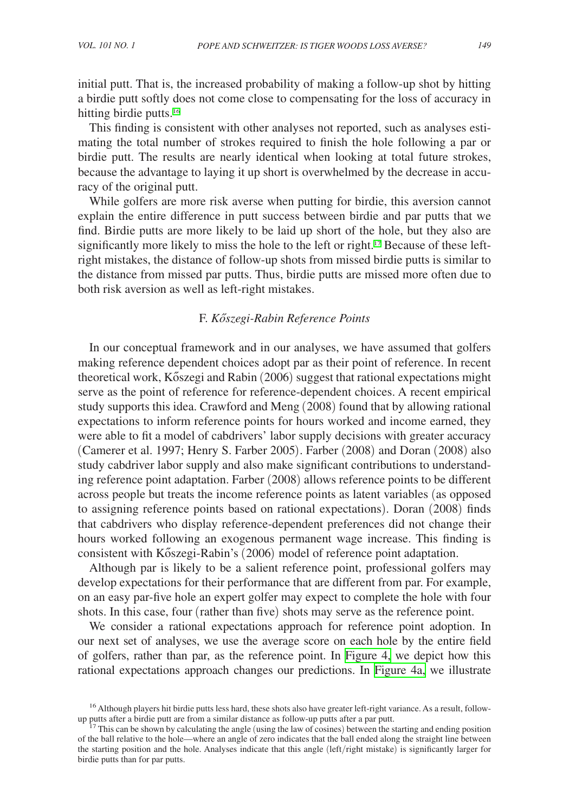initial putt. That is, the increased probability of making a follow-up shot by hitting a birdie putt softly does not come close to compensating for the loss of accuracy in hitting birdie putts.<sup>16</sup>

This finding is consistent with other analyses not reported, such as analyses estimating the total number of strokes required to finish the hole following a par or birdie putt. The results are nearly identical when looking at total future strokes, because the advantage to laying it up short is overwhelmed by the decrease in accuracy of the original putt.

While golfers are more risk averse when putting for birdie, this aversion cannot explain the entire difference in putt success between birdie and par putts that we find. Birdie putts are more likely to be laid up short of the hole, but they also are significantly more likely to miss the hole to the left or right.<sup>17</sup> Because of these leftright mistakes, the distance of follow-up shots from missed birdie putts is similar to the distance from missed par putts. Thus, birdie putts are missed more often due to both risk aversion as well as left-right mistakes.

#### F. *Ko˝szegi-Rabin Reference Points*

In our conceptual framework and in our analyses, we have assumed that golfers making reference dependent choices adopt par as their point of reference. In recent theoretical work, Kőszegi and Rabin (2006) suggest that rational expectations might serve as the point of reference for reference-dependent choices. A recent empirical study supports this idea. Crawford and Meng (2008) found that by allowing rational expectations to inform reference points for hours worked and income earned, they were able to fit a model of cabdrivers' labor supply decisions with greater accuracy (Camerer et al. 1997; Henry S. Farber 2005). Farber (2008) and Doran (2008) also study cabdriver labor supply and also make significant contributions to understanding reference point adaptation. Farber (2008) allows reference points to be different across people but treats the income reference points as latent variables (as opposed to assigning reference points based on rational expectations). Doran (2008) finds that cabdrivers who display reference-dependent preferences did not change their hours worked following an exogenous permanent wage increase. This finding is consistent with Kőszegi-Rabin's (2006) model of reference point adaptation.

Although par is likely to be a salient reference point, professional golfers may develop expectations for their performance that are different from par. For example, on an easy par-five hole an expert golfer may expect to complete the hole with four shots. In this case, four (rather than five) shots may serve as the reference point.

We consider a rational expectations approach for reference point adoption. In our next set of analyses, we use the average score on each hole by the entire field of golfers, rather than par, as the reference point. In [Figure 4,](#page-23-0) we depict how this rational expectations approach changes our predictions. In [Figure 4a,](#page-23-0) we illustrate

<sup>&</sup>lt;sup>16</sup> Although players hit birdie putts less hard, these shots also have greater left-right variance. As a result, follow-up putts after a birdie putt are from a similar distance as follow-up putts after a par putt.

<sup>&</sup>lt;sup>17</sup> This can be shown by calculating the angle (using the law of cosines) between the starting and ending position of the ball relative to the hole—where an angle of zero indicates that the ball ended along the straight line between the starting position and the hole. Analyses indicate that this angle (left/right mistake) is significantly larger for birdie putts than for par putts.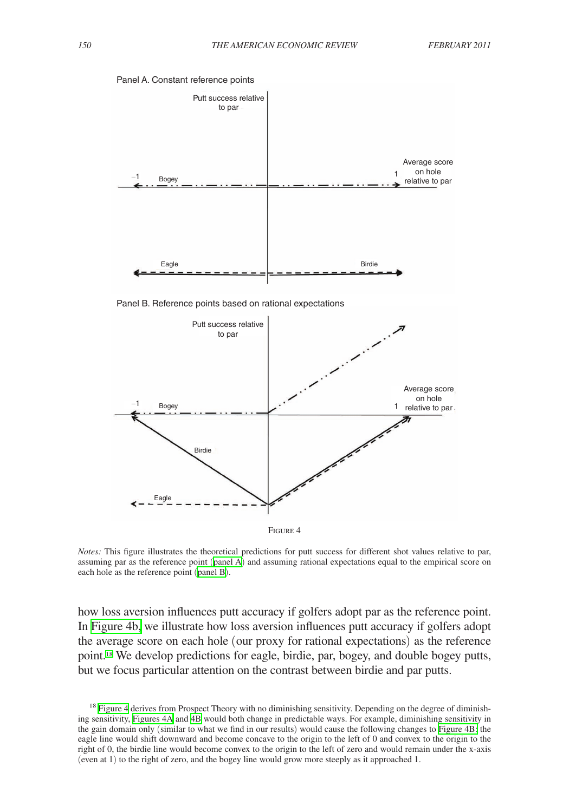<span id="page-23-0"></span>

Panel A. Constant reference points

Panel B. Reference points based on rational expectations



*Notes:* This figure illustrates the theoretical predictions for putt success for different shot values relative to par, assuming par as the reference point (panel A) and assuming rational expectations equal to the empirical score on each hole as the reference point (panel B).

how loss aversion influences putt accuracy if golfers adopt par as the reference point. In Figure 4b, we illustrate how loss aversion influences putt accuracy if golfers adopt the average score on each hole (our proxy for rational expectations) as the reference point.18 We develop predictions for eagle, birdie, par, bogey, and double bogey putts, but we focus particular attention on the contrast between birdie and par putts.

<sup>18</sup> Figure 4 derives from Prospect Theory with no diminishing sensitivity. Depending on the degree of diminishing sensitivity, Figures 4A and 4B would both change in predictable ways. For example, diminishing sensitivity in the gain domain only (similar to what we find in our results) would cause the following changes to Figure 4B: the eagle line would shift downward and become concave to the origin to the left of 0 and convex to the origin to the right of 0, the birdie line would become convex to the origin to the left of zero and would remain under the x-axis (even at 1) to the right of zero, and the bogey line would grow more steeply as it approached 1.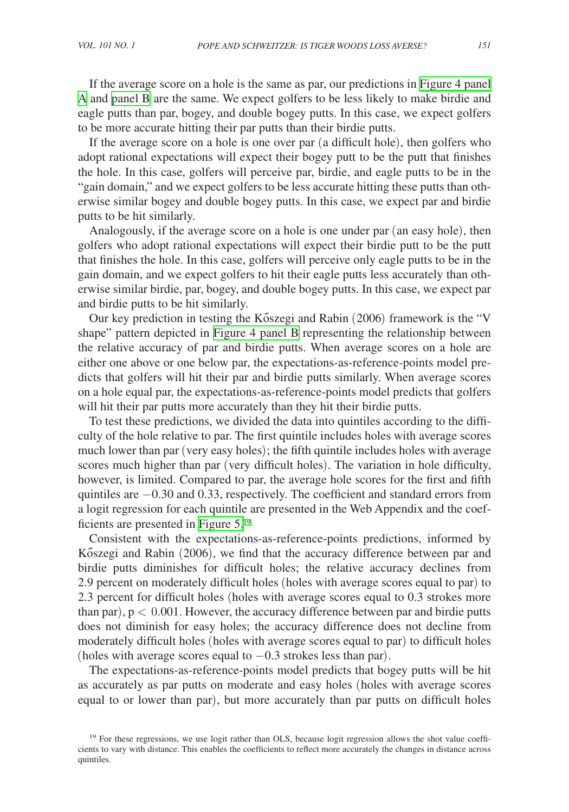If the average score on a hole is the same as par, our predictions in [Figure 4 panel](#page-23-0)  [A](#page-23-0) and [panel B](#page-23-0) are the same. We expect golfers to be less likely to make birdie and eagle putts than par, bogey, and double bogey putts. In this case, we expect golfers to be more accurate hitting their par putts than their birdie putts.

If the average score on a hole is one over par (a difficult hole), then golfers who adopt rational expectations will expect their bogey putt to be the putt that finishes the hole. In this case, golfers will perceive par, birdie, and eagle putts to be in the "gain domain," and we expect golfers to be less accurate hitting these putts than otherwise similar bogey and double bogey putts. In this case, we expect par and birdie putts to be hit similarly.

Analogously, if the average score on a hole is one under par (an easy hole), then golfers who adopt rational expectations will expect their birdie putt to be the putt that finishes the hole. In this case, golfers will perceive only eagle putts to be in the gain domain, and we expect golfers to hit their eagle putts less accurately than otherwise similar birdie, par, bogey, and double bogey putts. In this case, we expect par and birdie putts to be hit similarly.

Our key prediction in testing the Kőszegi and Rabin (2006) framework is the "V shape" pattern depicted in [Figure 4 panel B](#page-23-0) representing the relationship between the relative accuracy of par and birdie putts. When average scores on a hole are either one above or one below par, the expectations-as-reference-points model predicts that golfers will hit their par and birdie putts similarly. When average scores on a hole equal par, the expectations-as-reference-points model predicts that golfers will hit their par putts more accurately than they hit their birdie putts.

To test these predictions, we divided the data into quintiles according to the difficulty of the hole relative to par. The first quintile includes holes with average scores much lower than par (very easy holes); the fifth quintile includes holes with average scores much higher than par (very difficult holes). The variation in hole difficulty, however, is limited. Compared to par, the average hole scores for the first and fifth quintiles are  $-0.30$  and 0.33, respectively. The coefficient and standard errors from a logit regression for each quintile are presented in the Web Appendix and the coefficients are presented in [Figure 5.](#page-25-0)19

Consistent with the expectations-as-reference-points predictions, informed by Kőszegi and Rabin (2006), we find that the accuracy difference between par and birdie putts diminishes for difficult holes; the relative accuracy declines from 2.9 percent on moderately difficult holes (holes with average scores equal to par) to 2.3 percent for difficult holes (holes with average scores equal to 0.3 strokes more than par),  $p < 0.001$ . However, the accuracy difference between par and birdie putts does not diminish for easy holes; the accuracy difference does not decline from moderately difficult holes (holes with average scores equal to par) to difficult holes (holes with average scores equal to  $-0.3$  strokes less than par).

The expectations-as-reference-points model predicts that bogey putts will be hit as accurately as par putts on moderate and easy holes (holes with average scores equal to or lower than par), but more accurately than par putts on difficult holes

<sup>&</sup>lt;sup>19</sup> For these regressions, we use logit rather than OLS, because logit regression allows the shot value coefficients to vary with distance. This enables the coefficients to reflect more accurately the changes in distance across quintiles.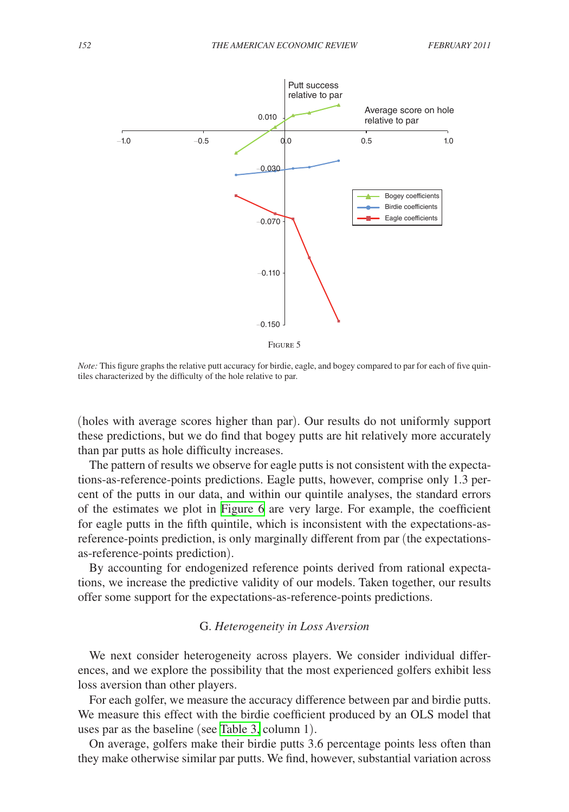<span id="page-25-0"></span>

*Note:* This figure graphs the relative putt accuracy for birdie, eagle, and bogey compared to par for each of five quintiles characterized by the difficulty of the hole relative to par.

(holes with average scores higher than par). Our results do not uniformly support these predictions, but we do find that bogey putts are hit relatively more accurately than par putts as hole difficulty increases.

The pattern of results we observe for eagle putts is not consistent with the expectations-as-reference-points predictions. Eagle putts, however, comprise only 1.3 percent of the putts in our data, and within our quintile analyses, the standard errors of the estimates we plot in [Figure 6](#page-26-0) are very large. For example, the coefficient for eagle putts in the fifth quintile, which is inconsistent with the expectations-asreference-points prediction, is only marginally different from par (the expectationsas-reference-points prediction).

By accounting for endogenized reference points derived from rational expectations, we increase the predictive validity of our models. Taken together, our results offer some support for the expectations-as-reference-points predictions.

#### G. *Heterogeneity in Loss Aversion*

We next consider heterogeneity across players. We consider individual differences, and we explore the possibility that the most experienced golfers exhibit less loss aversion than other players.

For each golfer, we measure the accuracy difference between par and birdie putts. We measure this effect with the birdie coefficient produced by an OLS model that uses par as the baseline (see [Table 3,](#page-12-0) column 1).

On average, golfers make their birdie putts 3.6 percentage points less often than they make otherwise similar par putts. We find, however, substantial variation across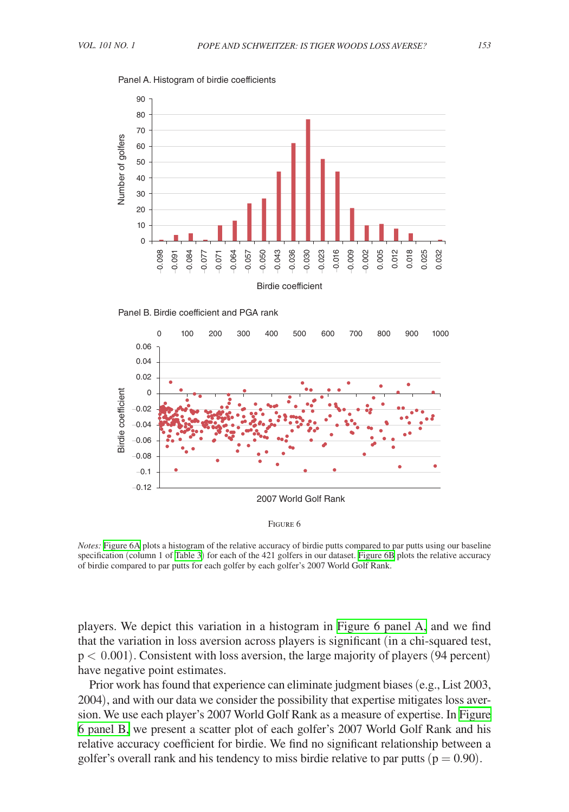

<span id="page-26-0"></span>Panel A. Histogram of birdie coefficients





Figure 6

*Notes:* Figure 6A plots a histogram of the relative accuracy of birdie putts compared to par putts using our baseline specification (column 1 of [Table 3](#page-12-0)) for each of the 421 golfers in our dataset. Figure 6B plots the relative accuracy of birdie compared to par putts for each golfer by each golfer's 2007 World Golf Rank.

players. We depict this variation in a histogram in Figure 6 panel A, and we find that the variation in loss aversion across players is significant (in a chi-squared test,  $p < 0.001$ ). Consistent with loss aversion, the large majority of players (94 percent) have negative point estimates.

Prior work has found that experience can eliminate judgment biases (e.g., List 2003, 2004), and with our data we consider the possibility that expertise mitigates loss aversion. We use each player's 2007 World Golf Rank as a measure of expertise. In Figure 6 panel B, we present a scatter plot of each golfer's 2007 World Golf Rank and his relative accuracy coefficient for birdie. We find no significant relationship between a golfer's overall rank and his tendency to miss birdie relative to par putts ( $p = 0.90$ ).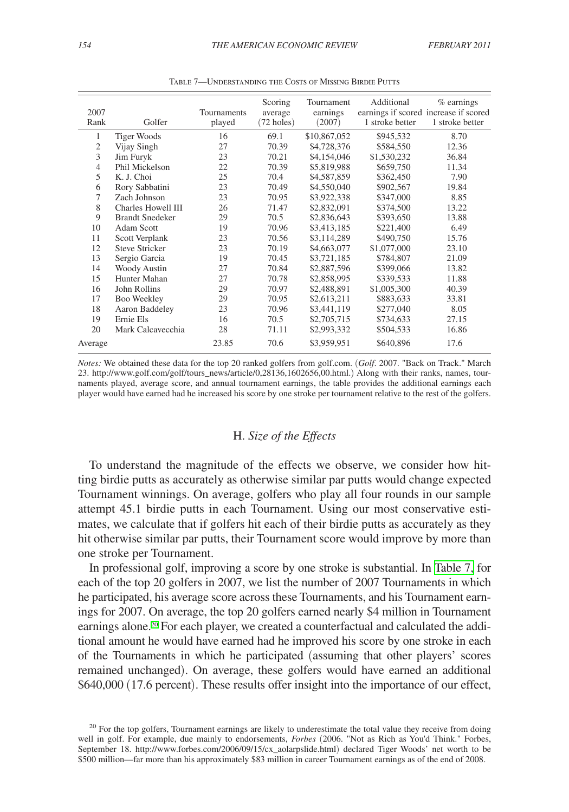| 2007<br>Rank   | Golfer                 | Tournaments<br>played | Scoring<br>average<br>$(72$ holes) | Tournament<br>earnings<br>(2007) | Additional<br>1 stroke better | $%$ earnings<br>earnings if scored increase if scored<br>1 stroke better |
|----------------|------------------------|-----------------------|------------------------------------|----------------------------------|-------------------------------|--------------------------------------------------------------------------|
| 1              | <b>Tiger Woods</b>     | 16                    | 69.1                               | \$10,867,052                     | \$945,532                     | 8.70                                                                     |
| $\overline{2}$ | Vijay Singh            | 27                    | 70.39                              | \$4,728,376                      | \$584,550                     | 12.36                                                                    |
| 3              | Jim Furyk              | 23                    | 70.21                              | \$4,154,046                      | \$1,530,232                   | 36.84                                                                    |
| $\overline{4}$ | Phil Mickelson         | 22                    | 70.39                              | \$5,819,988                      | \$659.750                     | 11.34                                                                    |
| 5              | K. J. Choi             | 25                    | 70.4                               | \$4,587,859                      | \$362,450                     | 7.90                                                                     |
| 6              | Rory Sabbatini         | 23                    | 70.49                              | \$4,550,040                      | \$902,567                     | 19.84                                                                    |
| 7              | Zach Johnson           | 23                    | 70.95                              | \$3,922,338                      | \$347,000                     | 8.85                                                                     |
| 8              | Charles Howell III     | 26                    | 71.47                              | \$2,832,091                      | \$374.500                     | 13.22                                                                    |
| 9              | <b>Brandt Snedeker</b> | 29                    | 70.5                               | \$2,836,643                      | \$393,650                     | 13.88                                                                    |
| 10             | <b>Adam Scott</b>      | 19                    | 70.96                              | \$3,413,185                      | \$221,400                     | 6.49                                                                     |
| 11             | Scott Verplank         | 23                    | 70.56                              | \$3,114,289                      | \$490,750                     | 15.76                                                                    |
| 12             | <b>Steve Stricker</b>  | 23                    | 70.19                              | \$4,663,077                      | \$1,077,000                   | 23.10                                                                    |
| 13             | Sergio Garcia          | 19                    | 70.45                              | \$3,721,185                      | \$784,807                     | 21.09                                                                    |
| 14             | Woody Austin           | 27                    | 70.84                              | \$2,887,596                      | \$399,066                     | 13.82                                                                    |
| 15             | Hunter Mahan           | 27                    | 70.78                              | \$2,858,995                      | \$339,533                     | 11.88                                                                    |
| 16             | John Rollins           | 29                    | 70.97                              | \$2,488,891                      | \$1,005,300                   | 40.39                                                                    |
| 17             | Boo Weekley            | 29                    | 70.95                              | \$2,613,211                      | \$883,633                     | 33.81                                                                    |
| 18             | Aaron Baddeley         | 23                    | 70.96                              | \$3,441,119                      | \$277,040                     | 8.05                                                                     |
| 19             | Ernie Els              | 16                    | 70.5                               | \$2,705,715                      | \$734,633                     | 27.15                                                                    |
| 20             | Mark Calcavecchia      | 28                    | 71.11                              | \$2,993,332                      | \$504,533                     | 16.86                                                                    |
| Average        |                        | 23.85                 | 70.6                               | \$3,959,951                      | \$640,896                     | 17.6                                                                     |

Table 7—Understanding the Costs of Missing Birdie Putts

*Notes:* We obtained these data for the top 20 ranked golfers from golf.com. (*Golf*. 2007. "Back on Track." March 23. http://www.golf.com/golf/tours\_news/article/0,28136,1602656,00.html.) Along with their ranks, names, tournaments played, average score, and annual tournament earnings, the table provides the additional earnings each player would have earned had he increased his score by one stroke per tournament relative to the rest of the golfers.

#### H. *Size of the Effects*

To understand the magnitude of the effects we observe, we consider how hitting birdie putts as accurately as otherwise similar par putts would change expected Tournament winnings. On average, golfers who play all four rounds in our sample attempt 45.1 birdie putts in each Tournament. Using our most conservative estimates, we calculate that if golfers hit each of their birdie putts as accurately as they hit otherwise similar par putts, their Tournament score would improve by more than one stroke per Tournament.

In professional golf, improving a score by one stroke is substantial. In Table 7, for each of the top 20 golfers in 2007, we list the number of 2007 Tournaments in which he participated, his average score across these Tournaments, and his Tournament earnings for 2007. On average, the top 20 golfers earned nearly \$4 million in Tournament earnings alone.<sup>20</sup> For each player, we created a counterfactual and calculated the additional amount he would have earned had he improved his score by one stroke in each of the Tournaments in which he participated (assuming that other players' scores remained unchanged). On average, these golfers would have earned an additional \$640,000 (17.6 percent). These results offer insight into the importance of our effect,

 $20$  For the top golfers, Tournament earnings are likely to underestimate the total value they receive from doing well in golf. For example, due mainly to endorsements, *Forbes* (2006. "Not as Rich as You'd Think." Forbes, September 18. http://www.forbes.com/2006/09/15/cx\_aolarpslide.html) declared Tiger Woods' net worth to be \$500 million—far more than his approximately \$83 million in career Tournament earnings as of the end of 2008.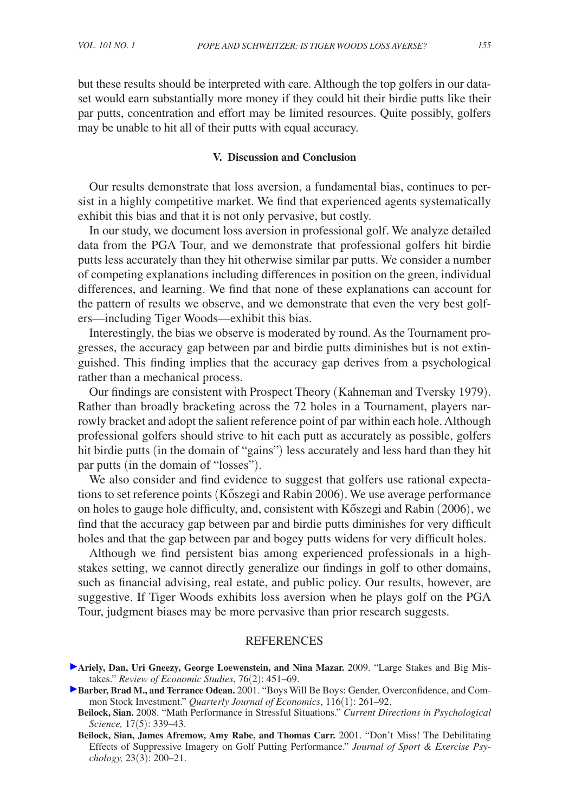but these results should be interpreted with care. Although the top golfers in our dataset would earn substantially more money if they could hit their birdie putts like their par putts, concentration and effort may be limited resources. Quite possibly, golfers may be unable to hit all of their putts with equal accuracy.

#### **V. Discussion and Conclusion**

Our results demonstrate that loss aversion, a fundamental bias, continues to persist in a highly competitive market. We find that experienced agents systematically exhibit this bias and that it is not only pervasive, but costly.

In our study, we document loss aversion in professional golf. We analyze detailed data from the PGA Tour, and we demonstrate that professional golfers hit birdie putts less accurately than they hit otherwise similar par putts. We consider a number of competing explanations including differences in position on the green, individual differences, and learning. We find that none of these explanations can account for the pattern of results we observe, and we demonstrate that even the very best golfers—including Tiger Woods—exhibit this bias.

Interestingly, the bias we observe is moderated by round. As the Tournament progresses, the accuracy gap between par and birdie putts diminishes but is not extinguished. This finding implies that the accuracy gap derives from a psychological rather than a mechanical process.

Our findings are consistent with Prospect Theory (Kahneman and Tversky 1979). Rather than broadly bracketing across the 72 holes in a Tournament, players narrowly bracket and adopt the salient reference point of par within each hole. Although professional golfers should strive to hit each putt as accurately as possible, golfers hit birdie putts (in the domain of "gains") less accurately and less hard than they hit par putts (in the domain of "losses").

We also consider and find evidence to suggest that golfers use rational expectations to set reference points (Kőszegi and Rabin 2006). We use average performance on holes to gauge hole difficulty, and, consistent with Kőszegi and Rabin (2006), we find that the accuracy gap between par and birdie putts diminishes for very difficult holes and that the gap between par and bogey putts widens for very difficult holes.

Although we find persistent bias among experienced professionals in a highstakes setting, we cannot directly generalize our findings in golf to other domains, such as financial advising, real estate, and public policy. Our results, however, are suggestive. If Tiger Woods exhibits loss aversion when he plays golf on the PGA Tour, judgment biases may be more pervasive than prior research suggests.

#### REFERENCES

- **Ariely, Dan, Uri Gneezy, George Loewenstein, and Nina Mazar.** 2009. "Large Stakes and Big Mistakes." *Review of Economic Studies*, 76(2): 451–69.
- **Barber, Brad M., and Terrance Odean.** 2001. "Boys Will Be Boys: Gender, Overconfidence, and Common Stock Investment." *Quarterly Journal of Economics*, 116(1): 261–92.
	- **Beilock, Sian.** 2008. "Math Performance in Stressful Situations." *Current Directions in Psychological Science,* 17(5): 339–43.
	- **Beilock, Sian, James Afremow, Amy Rabe, and Thomas Carr.** 2001. "Don't Miss! The Debilitating Effects of Suppressive Imagery on Golf Putting Performance." *Journal of Sport & Exercise Psychology,* 23(3): 200–21.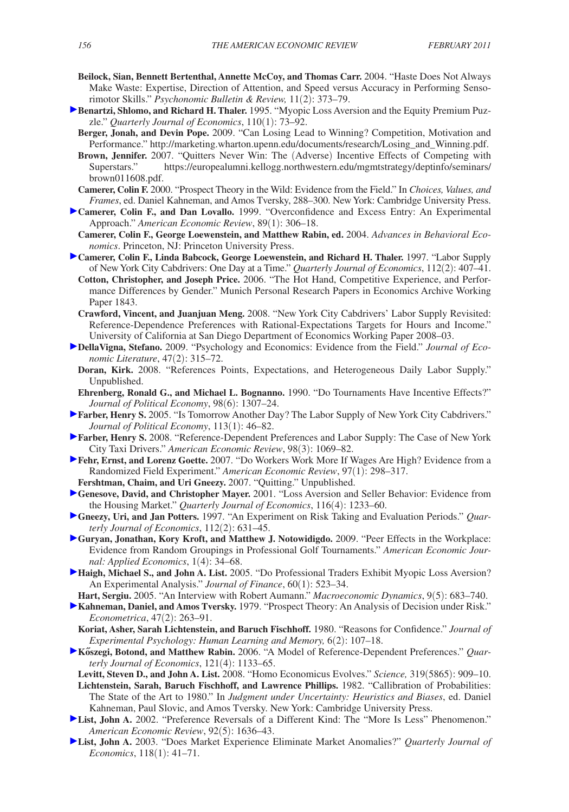- **Beilock, Sian, Bennett Bertenthal, Annette McCoy, and Thomas Carr.** 2004. "Haste Does Not Always Make Waste: Expertise, Direction of Attention, and Speed versus Accuracy in Performing Sensorimotor Skills." *Psychonomic Bulletin & Review,* 11(2): 373–79.
- **Benartzi, Shlomo, and Richard H. Thaler.** 1995. "Myopic Loss Aversion and the Equity Premium Puzzle." *Quarterly Journal of Economics*, 110(1): 73–92.
- **Berger, Jonah, and Devin Pope.** 2009. "Can Losing Lead to Winning? Competition, Motivation and Performance." http://marketing.wharton.upenn.edu/documents/research/Losing\_and\_Winning.pdf.
- **Brown, Jennifer.** 2007. "Quitters Never Win: The (Adverse) Incentive Effects of Competing with Superstars." https://europealumni.kellogg.northwestern.edu/mgmtstrategy/deptinfo/seminars/ https://europealumni.kellogg.northwestern.edu/mgmtstrategy/deptinfo/seminars/ brown011608.pdf.
- **Camerer, Colin F.** 2000. "Prospect Theory in the Wild: Evidence from the Field." In *Choices, Values, and Frames*, ed. Daniel Kahneman, and Amos Tversky, 288–300. New York: Cambridge University Press.
- **Camerer, Colin F., and Dan Lovallo.** 1999. "Overconfidence and Excess Entry: An Experimental Approach." *American Economic Review*, 89(1): 306–18.
- **Camerer, Colin F., George Loewenstein, and Matthew Rabin, ed.** 2004. *Advances in Behavioral Economics*. Princeton, NJ: Princeton University Press.
- **Camerer, Colin F., Linda Babcock, George Loewenstein, and Richard H. Thaler.** 1997. "Labor Supply of New York City Cabdrivers: One Day at a Time." *Quarterly Journal of Economics*, 112(2): 407–41.
	- **Cotton, Christopher, and Joseph Price.** 2006. "The Hot Hand, Competitive Experience, and Performance Differences by Gender." Munich Personal Research Papers in Economics Archive Working Paper 1843.
	- **Crawford, Vincent, and Juanjuan Meng.** 2008. "New York City Cabdrivers' Labor Supply Revisited: Reference-Dependence Preferences with Rational-Expectations Targets for Hours and Income." University of California at San Diego Department of Economics Working Paper 2008–03.
- **DellaVigna, Stefano.** 2009. "Psychology and Economics: Evidence from the Field." *Journal of Economic Literature*, 47(2): 315–72.
	- **Doran, Kirk.** 2008. "References Points, Expectations, and Heterogeneous Daily Labor Supply." Unpublished.
	- **Ehrenberg, Ronald G., and Michael L. Bognanno.** 1990. "Do Tournaments Have Incentive Effects?" *Journal of Political Economy*, 98(6): 1307–24.
- **Farber, Henry S.** 2005. "Is Tomorrow Another Day? The Labor Supply of New York City Cabdrivers." *Journal of Political Economy*, 113(1): 46–82.
- **Farber, Henry S.** 2008. "Reference-Dependent Preferences and Labor Supply: The Case of New York City Taxi Drivers." *American Economic Review*, 98(3): 1069–82.
- **Fehr, Ernst, and Lorenz Goette.** 2007. "Do Workers Work More If Wages Are High? Evidence from a Randomized Field Experiment." *American Economic Review*, 97(1): 298–317.
- **Fershtman, Chaim, and Uri Gneezy.** 2007. "Quitting." Unpublished.
- **Genesove, David, and Christopher Mayer.** 2001. "Loss Aversion and Seller Behavior: Evidence from the Housing Market." *Quarterly Journal of Economics*, 116(4): 1233–60.
- **Gneezy, Uri, and Jan Potters.** 1997. "An Experiment on Risk Taking and Evaluation Periods." *Quarterly Journal of Economics*, 112(2): 631–45.
- **Guryan, Jonathan, Kory Kroft, and Matthew J. Notowidigdo.** 2009. "Peer Effects in the Workplace: Evidence from Random Groupings in Professional Golf Tournaments." *American Economic Journal: Applied Economics*, 1(4): 34–68.
- **Haigh, Michael S., and John A. List.** 2005. "Do Professional Traders Exhibit Myopic Loss Aversion? An Experimental Analysis." *Journal of Finance*, 60(1): 523–34.
- **Hart, Sergiu.** 2005. "An Interview with Robert Aumann." *Macroeconomic Dynamics*, 9(5): 683–740.
- **Kahneman, Daniel, and Amos Tversky.** 1979. "Prospect Theory: An Analysis of Decision under Risk." *Econometrica*, 47(2): 263–91.
- **Koriat, Asher, Sarah Lichtenstein, and Baruch Fischhoff.** 1980. "Reasons for Confidence." *Journal of Experimental Psychology: Human Learning and Memory,* 6(2): 107–18.
- Koszegi, Botond, and Matthew Rabin. 2006. "A Model of Reference-Dependent Preferences." *Quarterly Journal of Economics*, 121(4): 1133–65.
- **Levitt, Steven D., and John A. List.** 2008. "Homo Economicus Evolves." *Science,* 319(5865): 909–10. **Lichtenstein, Sarah, Baruch Fischhoff, and Lawrence Phillips.** 1982. "Callibration of Probabilities: The State of the Art to 1980." In *Judgment under Uncertainty: Heuristics and Biases*, ed. Daniel Kahneman, Paul Slovic, and Amos Tversky. New York: Cambridge University Press.
- **List, John A.** 2002. "Preference Reversals of a Different Kind: The "More Is Less" Phenomenon." *American Economic Review*, 92(5): 1636–43.
- **List, John A.** 2003. "Does Market Experience Eliminate Market Anomalies?" *Quarterly Journal of Economics*, 118(1): 41–71.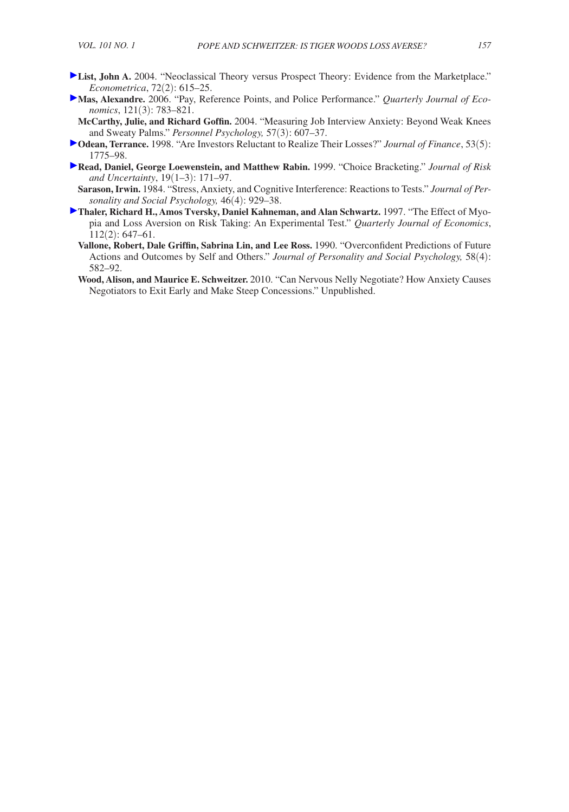- **List, John A.** 2004. "Neoclassical Theory versus Prospect Theory: Evidence from the Marketplace." *Econometrica*, 72(2): 615–25.
- **Mas, Alexandre.** 2006. "Pay, Reference Points, and Police Performance." *Quarterly Journal of Economics*, 121(3): 783–821.
	- **McCarthy, Julie, and Richard Goffin.** 2004. "Measuring Job Interview Anxiety: Beyond Weak Knees and Sweaty Palms." *Personnel Psychology,* 57(3): 607–37.
- **Odean, Terrance.** 1998. "Are Investors Reluctant to Realize Their Losses?" *Journal of Finance*, 53(5): 1775–98.
- **Read, Daniel, George Loewenstein, and Matthew Rabin.** 1999. "Choice Bracketing." *Journal of Risk and Uncertainty*, 19(1–3): 171–97.
- **Sarason, Irwin.** 1984. "Stress, Anxiety, and Cognitive Interference: Reactions to Tests." *Journal of Personality and Social Psychology,* 46(4): 929–38.
- **Thaler, Richard H., Amos Tversky, Daniel Kahneman, and Alan Schwartz.** 1997. "The Effect of Myopia and Loss Aversion on Risk Taking: An Experimental Test." *Quarterly Journal of Economics*, 112(2): 647–61.
	- **Vallone, Robert, Dale Griffin, Sabrina Lin, and Lee Ross.** 1990. "Overconfident Predictions of Future Actions and Outcomes by Self and Others." *Journal of Personality and Social Psychology,* 58(4): 582–92.
	- **Wood, Alison, and Maurice E. Schweitzer.** 2010. "Can Nervous Nelly Negotiate? How Anxiety Causes Negotiators to Exit Early and Make Steep Concessions." Unpublished.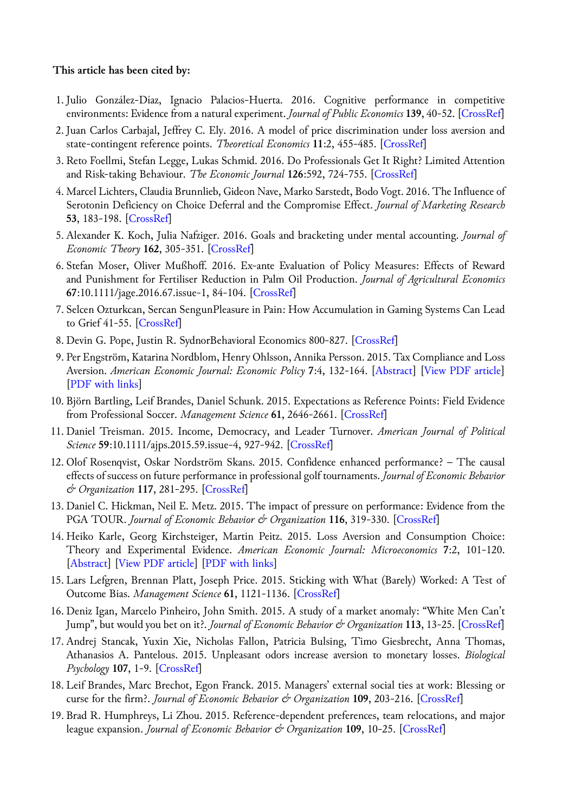#### **This article has been cited by:**

- 1. Julio González-Díaz, Ignacio Palacios-Huerta. 2016. Cognitive performance in competitive environments: Evidence from a natural experiment. *Journal of Public Economics* **139**, 40-52. [[CrossRef\]](http://dx.doi.org/10.1016/j.jpubeco.2016.05.001)
- 2. Juan Carlos Carbajal, Jeffrey C. Ely. 2016. A model of price discrimination under loss aversion and state-contingent reference points. *Theoretical Economics* **11**:2, 455-485. [[CrossRef\]](http://dx.doi.org/10.3982/TE1737)
- 3. Reto Foellmi, Stefan Legge, Lukas Schmid. 2016. Do Professionals Get It Right? Limited Attention and Risk-taking Behaviour. *The Economic Journal* **126**:592, 724-755. [\[CrossRef](http://dx.doi.org/10.1111/ecoj.12375)]
- 4. Marcel Lichters, Claudia Brunnlieb, Gideon Nave, Marko Sarstedt, Bodo Vogt. 2016. The Influence of Serotonin Deficiency on Choice Deferral and the Compromise Effect. *Journal of Marketing Research* **53**, 183-198. [\[CrossRef](http://dx.doi.org/10.1509/jmr.14.0482)]
- 5. Alexander K. Koch, Julia Nafziger. 2016. Goals and bracketing under mental accounting. *Journal of Economic Theory* **162**, 305-351. [[CrossRef\]](http://dx.doi.org/10.1016/j.jet.2016.01.001)
- 6. Stefan Moser, Oliver Mußhoff. 2016. Ex-ante Evaluation of Policy Measures: Effects of Reward and Punishment for Fertiliser Reduction in Palm Oil Production. *Journal of Agricultural Economics* **67**:10.1111/jage.2016.67.issue-1, 84-104. [\[CrossRef](http://dx.doi.org/10.1111/1477-9552.12114)]
- 7. Selcen Ozturkcan, Sercan SengunPleasure in Pain: How Accumulation in Gaming Systems Can Lead to Grief 41-55. [[CrossRef\]](http://dx.doi.org/10.1007/978-3-319-29904-4_3)
- 8.Devin G. Pope, Justin R. SydnorBehavioral Economics 800-827. [\[CrossRef](http://dx.doi.org/10.1002/9781118468333.ch28)]
- 9. Per Engström, Katarina Nordblom, Henry Ohlsson, Annika Persson. 2015. Tax Compliance and Loss Aversion. *American Economic Journal: Economic Policy* **7**:4, 132-164. [\[Abstract](http://dx.doi.org/10.1257/pol.20130134)] [[View PDF article\]](http://pubs.aeaweb.org/doi/pdf/10.1257/pol.20130134) [\[PDF with links\]](http://pubs.aeaweb.org/doi/pdfplus/10.1257/pol.20130134)
- 10. Björn Bartling, Leif Brandes, Daniel Schunk. 2015. Expectations as Reference Points: Field Evidence from Professional Soccer. *Management Science* **61**, 2646-2661. [[CrossRef\]](http://dx.doi.org/10.1287/mnsc.2014.2048)
- 11.Daniel Treisman. 2015. Income, Democracy, and Leader Turnover. *American Journal of Political Science* **59**:10.1111/ajps.2015.59.issue-4, 927-942. [\[CrossRef](http://dx.doi.org/10.1111/ajps.12135)]
- 12. Olof Rosenqvist, Oskar Nordström Skans. 2015. Confidence enhanced performance? The causal effects of success on future performance in professional golf tournaments. *Journal of Economic Behavior & Organization* **117**, 281-295. [[CrossRef\]](http://dx.doi.org/10.1016/j.jebo.2015.06.020)
- 13.Daniel C. Hickman, Neil E. Metz. 2015. The impact of pressure on performance: Evidence from the PGA TOUR. *Journal of Economic Behavior & Organization* **116**, 319-330. [\[CrossRef](http://dx.doi.org/10.1016/j.jebo.2015.04.007)]
- 14. Heiko Karle, Georg Kirchsteiger, Martin Peitz. 2015. Loss Aversion and Consumption Choice: Theory and Experimental Evidence. *American Economic Journal: Microeconomics* **7**:2, 101-120. [\[Abstract](http://dx.doi.org/10.1257/mic.20130104)] [\[View PDF article](http://pubs.aeaweb.org/doi/pdf/10.1257/mic.20130104)] [[PDF with links](http://pubs.aeaweb.org/doi/pdfplus/10.1257/mic.20130104)]
- 15. Lars Lefgren, Brennan Platt, Joseph Price. 2015. Sticking with What (Barely) Worked: A Test of Outcome Bias. *Management Science* **61**, 1121-1136. [\[CrossRef](http://dx.doi.org/10.1287/mnsc.2014.1966)]
- 16.Deniz Igan, Marcelo Pinheiro, John Smith. 2015. A study of a market anomaly: "White Men Can't Jump", but would you bet on it?. *Journal of Economic Behavior & Organization* **113**, 13-25. [[CrossRef\]](http://dx.doi.org/10.1016/j.jebo.2015.02.005)
- 17. Andrej Stancak, Yuxin Xie, Nicholas Fallon, Patricia Bulsing, Timo Giesbrecht, Anna Thomas, Athanasios A. Pantelous. 2015. Unpleasant odors increase aversion to monetary losses. *Biological Psychology* **107**, 1-9. [[CrossRef\]](http://dx.doi.org/10.1016/j.biopsycho.2015.02.006)
- 18. Leif Brandes, Marc Brechot, Egon Franck. 2015. Managers' external social ties at work: Blessing or curse for the firm?. *Journal of Economic Behavior & Organization* **109**, 203-216. [\[CrossRef](http://dx.doi.org/10.1016/j.jebo.2014.11.013)]
- 19. Brad R. Humphreys, Li Zhou. 2015. Reference-dependent preferences, team relocations, and major league expansion. *Journal of Economic Behavior & Organization* **109**, 10-25. [[CrossRef\]](http://dx.doi.org/10.1016/j.jebo.2014.11.007)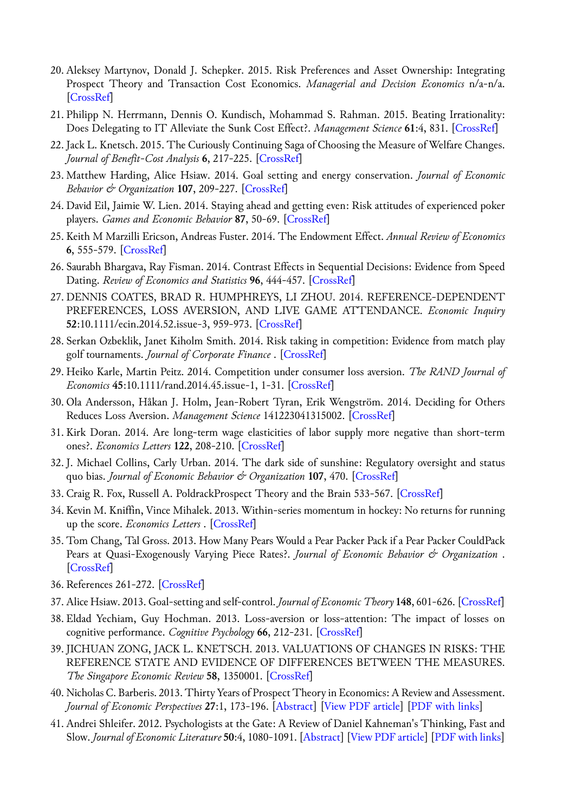- 20. Aleksey Martynov, Donald J. Schepker. 2015. Risk Preferences and Asset Ownership: Integrating Prospect Theory and Transaction Cost Economics. *Managerial and Decision Economics* n/a-n/a.  $|CrossRef|$
- 21. Philipp N. Herrmann, Dennis O. Kundisch, Mohammad S. Rahman. 2015. Beating Irrationality: Does Delegating to IT Alleviate the Sunk Cost Effect?. *Management Science* **61**:4, 831. [\[CrossRef](http://dx.doi.org/10.1287/mnsc.2014.1955)]
- 22. Jack L. Knetsch. 2015. The Curiously Continuing Saga of Choosing the Measure of Welfare Changes. *Journal of Benefit-Cost Analysis* **6**, 217-225. [[CrossRef\]](http://dx.doi.org/10.1017/bca.2015.4)
- 23. Matthew Harding, Alice Hsiaw. 2014. Goal setting and energy conservation. *Journal of Economic Behavior & Organization* **107**, 209-227. [[CrossRef\]](http://dx.doi.org/10.1016/j.jebo.2014.04.012)
- 24.David Eil, Jaimie W. Lien. 2014. Staying ahead and getting even: Risk attitudes of experienced poker players. *Games and Economic Behavior* **87**, 50-69. [\[CrossRef](http://dx.doi.org/10.1016/j.geb.2014.04.008)]
- 25. Keith M Marzilli Ericson, Andreas Fuster. 2014. The Endowment Effect. *Annual Review of Economics* **6**, 555-579. [\[CrossRef](http://dx.doi.org/10.1146/annurev-economics-080213-041320)]
- 26. Saurabh Bhargava, Ray Fisman. 2014. Contrast Effects in Sequential Decisions: Evidence from Speed Dating. *Review of Economics and Statistics* **96**, 444-457. [[CrossRef\]](http://dx.doi.org/10.1162/REST_a_00416)
- 27.DENNIS COATES, BRAD R. HUMPHREYS, LI ZHOU. 2014. REFERENCE-DEPENDENT PREFERENCES, LOSS AVERSION, AND LIVE GAME ATTENDANCE. *Economic Inquiry* **52**:10.1111/ecin.2014.52.issue-3, 959-973. [[CrossRef\]](http://dx.doi.org/10.1111/ecin.12061)
- 28. Serkan Ozbeklik, Janet Kiholm Smith. 2014. Risk taking in competition: Evidence from match play golf tournaments. *Journal of Corporate Finance* . [\[CrossRef](http://dx.doi.org/10.1016/j.jcorpfin.2014.05.003)]
- 29. Heiko Karle, Martin Peitz. 2014. Competition under consumer loss aversion. *The RAND Journal of Economics* **45**:10.1111/rand.2014.45.issue-1, 1-31. [[CrossRef\]](http://dx.doi.org/10.1111/1756-2171.12040)
- 30. Ola Andersson, Håkan J. Holm, Jean-Robert Tyran, Erik Wengström. 2014. Deciding for Others Reduces Loss Aversion. *Management Science* 141223041315002. [[CrossRef\]](http://dx.doi.org/10.1287/mnsc.2014.2085)
- 31. Kirk Doran. 2014. Are long-term wage elasticities of labor supply more negative than short-term ones?. *Economics Letters* **122**, 208-210. [[CrossRef\]](http://dx.doi.org/10.1016/j.econlet.2013.11.023)
- 32. J. Michael Collins, Carly Urban. 2014. The dark side of sunshine: Regulatory oversight and status quo bias. *Journal of Economic Behavior & Organization* **107**, 470. [[CrossRef\]](http://dx.doi.org/10.1016/j.jebo.2014.04.003)
- 33. Craig R. Fox, Russell A. PoldrackProspect Theory and the Brain 533-567. [\[CrossRef](http://dx.doi.org/10.1016/B978-0-12-416008-8.00042-5)]
- 34. Kevin M. Kniffin, Vince Mihalek. 2013. Within-series momentum in hockey: No returns for running up the score. *Economics Letters* . [\[CrossRef](http://dx.doi.org/10.1016/j.econlet.2013.12.033)]
- 35. Tom Chang, Tal Gross. 2013. How Many Pears Would a Pear Packer Pack if a Pear Packer CouldPack Pears at Quasi-Exogenously Varying Piece Rates?. *Journal of Economic Behavior & Organization* . [\[CrossRef](http://dx.doi.org/10.1016/j.jebo.2013.11.001)]
- 36. References 261-272. [\[CrossRef](http://dx.doi.org/10.1002/9781118662724.refs)]
- 37. Alice Hsiaw. 2013. Goal-setting and self-control. *Journal of Economic Theory* **148**, 601-626. [[CrossRef\]](http://dx.doi.org/10.1016/j.jet.2012.08.001)
- 38. Eldad Yechiam, Guy Hochman. 2013. Loss-aversion or loss-attention: The impact of losses on cognitive performance. *Cognitive Psychology* **66**, 212-231. [\[CrossRef](http://dx.doi.org/10.1016/j.cogpsych.2012.12.001)]
- 39. JICHUAN ZONG, JACK L. KNETSCH. 2013. VALUATIONS OF CHANGES IN RISKS: THE REFERENCE STATE AND EVIDENCE OF DIFFERENCES BETWEEN THE MEASURES. *The Singapore Economic Review* **58**, 1350001. [[CrossRef\]](http://dx.doi.org/10.1142/S021759081350001X)
- 40. Nicholas C. Barberis. 2013. Thirty Years of Prospect Theory in Economics: A Review and Assessment. *Journal of Economic Perspectives* **27**:1, 173-196. [\[Abstract](http://dx.doi.org/10.1257/jep.27.1.173)] [\[View PDF article](http://pubs.aeaweb.org/doi/pdf/10.1257/jep.27.1.173)] [\[PDF with links](http://pubs.aeaweb.org/doi/pdfplus/10.1257/jep.27.1.173)]
- 41. Andrei Shleifer. 2012. Psychologists at the Gate: A Review of Daniel Kahneman's Thinking, Fast and Slow. *Journal of Economic Literature* **50**:4, 1080-1091. [[Abstract\]](http://dx.doi.org/10.1257/jel.50.4.1080) [[View PDF article\]](http://pubs.aeaweb.org/doi/pdf/10.1257/jel.50.4.1080) [[PDF with links\]](http://pubs.aeaweb.org/doi/pdfplus/10.1257/jel.50.4.1080)